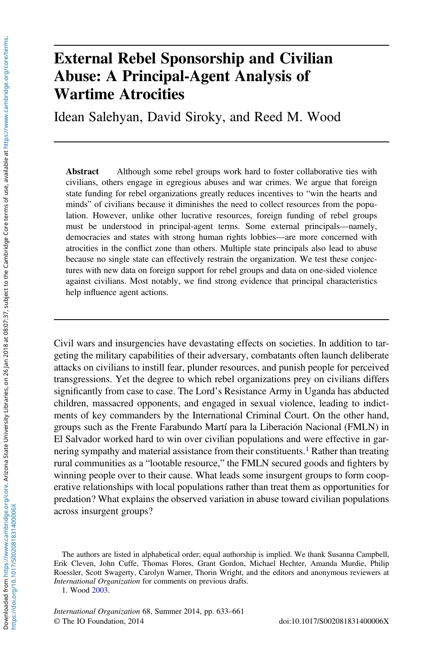# External Rebel Sponsorship and Civilian Abuse: A Principal-Agent Analysis of Wartime Atrocities

Idean Salehyan, David Siroky, and Reed M. Wood

Abstract Although some rebel groups work hard to foster collaborative ties with civilians, others engage in egregious abuses and war crimes. We argue that foreign state funding for rebel organizations greatly reduces incentives to "win the hearts and minds" of civilians because it diminishes the need to collect resources from the population. However, unlike other lucrative resources, foreign funding of rebel groups must be understood in principal-agent terms. Some external principals—namely, democracies and states with strong human rights lobbies—are more concerned with atrocities in the conflict zone than others. Multiple state principals also lead to abuse because no single state can effectively restrain the organization. We test these conjectures with new data on foreign support for rebel groups and data on one-sided violence against civilians. Most notably, we find strong evidence that principal characteristics help influence agent actions.

Civil wars and insurgencies have devastating effects on societies. In addition to targeting the military capabilities of their adversary, combatants often launch deliberate attacks on civilians to instill fear, plunder resources, and punish people for perceived transgressions. Yet the degree to which rebel organizations prey on civilians differs significantly from case to case. The Lord's Resistance Army in Uganda has abducted children, massacred opponents, and engaged in sexual violence, leading to indictments of key commanders by the International Criminal Court. On the other hand, groups such as the Frente Farabundo Martí para la Liberación Nacional (FMLN) in El Salvador worked hard to win over civilian populations and were effective in garnering sympathy and material assistance from their constituents.<sup>1</sup> Rather than treating rural communities as a "lootable resource," the FMLN secured goods and fighters by winning people over to their cause. What leads some insurgent groups to form cooperative relationships with local populations rather than treat them as opportunities for predation? What explains the observed variation in abuse toward civilian populations across insurgent groups?

1. Wood [2003](#page-28-0).

The authors are listed in alphabetical order; equal authorship is implied. We thank Susanna Campbell, Erik Cleven, John Cuffe, Thomas Flores, Grant Gordon, Michael Hechter, Amanda Murdie, Philip Roessler, Scott Swagerty, Carolyn Warner, Thorin Wright, and the editors and anonymous reviewers at International Organization for comments on previous drafts.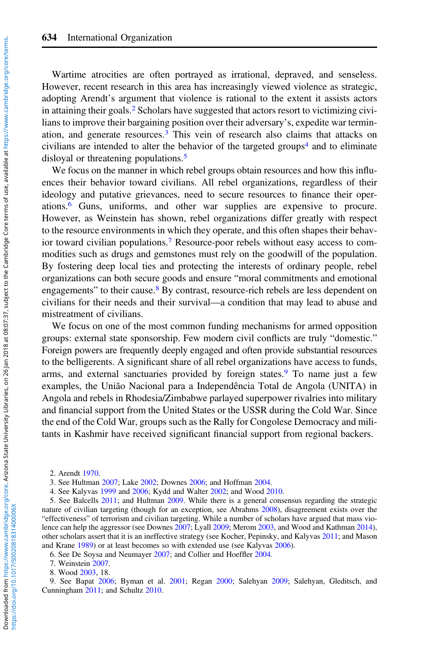Wartime atrocities are often portrayed as irrational, depraved, and senseless. However, recent research in this area has increasingly viewed violence as strategic, adopting Arendt's argument that violence is rational to the extent it assists actors in attaining their goals.<sup>2</sup> Scholars have suggested that actors resort to victimizing civilians to improve their bargaining position over their adversary's, expedite war termination, and generate resources.<sup>3</sup> This vein of research also claims that attacks on civilians are intended to alter the behavior of the targeted groups<sup>4</sup> and to eliminate disloyal or threatening populations.<sup>5</sup>

We focus on the manner in which rebel groups obtain resources and how this influences their behavior toward civilians. All rebel organizations, regardless of their ideology and putative grievances, need to secure resources to finance their operations.<sup>6</sup> Guns, uniforms, and other war supplies are expensive to procure. However, as Weinstein has shown, rebel organizations differ greatly with respect to the resource environments in which they operate, and this often shapes their behavior toward civilian populations.<sup>7</sup> Resource-poor rebels without easy access to commodities such as drugs and gemstones must rely on the goodwill of the population. By fostering deep local ties and protecting the interests of ordinary people, rebel organizations can both secure goods and ensure "moral commitments and emotional engagements" to their cause.<sup>8</sup> By contrast, resource-rich rebels are less dependent on civilians for their needs and their survival—a condition that may lead to abuse and mistreatment of civilians.

We focus on one of the most common funding mechanisms for armed opposition groups: external state sponsorship. Few modern civil conflicts are truly "domestic." Foreign powers are frequently deeply engaged and often provide substantial resources to the belligerents. A significant share of all rebel organizations have access to funds, arms, and external sanctuaries provided by foreign states.<sup>9</sup> To name just a few examples, the União Nacional para a Independência Total de Angola (UNITA) in Angola and rebels in Rhodesia/Zimbabwe parlayed superpower rivalries into military and financial support from the United States or the USSR during the Cold War. Since the end of the Cold War, groups such as the Rally for Congolese Democracy and militants in Kashmir have received significant financial support from regional backers.

5. See Balcells [2011;](#page-25-0) and Hultman [2009.](#page-26-0) While there is a general consensus regarding the strategic nature of civilian targeting (though for an exception, see Abrahms [2008](#page-25-0)), disagreement exists over the "effectiveness" of terrorism and civilian targeting. While a number of scholars have argued that mass violence can help the aggressor (see Downes [2007;](#page-26-0) Lyall [2009](#page-27-0); Merom [2003,](#page-27-0) and Wood and Kathman [2014](#page-28-0)), other scholars assert that it is an ineffective strategy (see Kocher, Pepinsky, and Kalyvas [2011;](#page-27-0) and Mason and Krane [1989](#page-27-0)) or at least becomes so with extended use (see Kalyvas [2006](#page-26-0)).

6. See De Soysa and Neumayer [2007](#page-26-0); and Collier and Hoeffler [2004](#page-25-0).

9. See Bapat [2006;](#page-25-0) Byman et al. [2001;](#page-25-0) Regan [2000;](#page-28-0) Salehyan [2009](#page-28-0); Salehyan, Gleditsch, and Cunningham [2011](#page-28-0); and Schultz [2010.](#page-28-0)

<sup>2.</sup> Arendt [1970.](#page-25-0)

<sup>3.</sup> See Hultman [2007](#page-26-0); Lake [2002;](#page-27-0) Downes [2006;](#page-26-0) and Hoffman [2004.](#page-26-0)

<sup>4.</sup> See Kalyvas [1999](#page-26-0) and [2006;](#page-26-0) Kydd and Walter [2002;](#page-27-0) and Wood [2010](#page-28-0).

<sup>7.</sup> Weinstein [2007.](#page-28-0)

<sup>8.</sup> Wood [2003](#page-28-0), 18.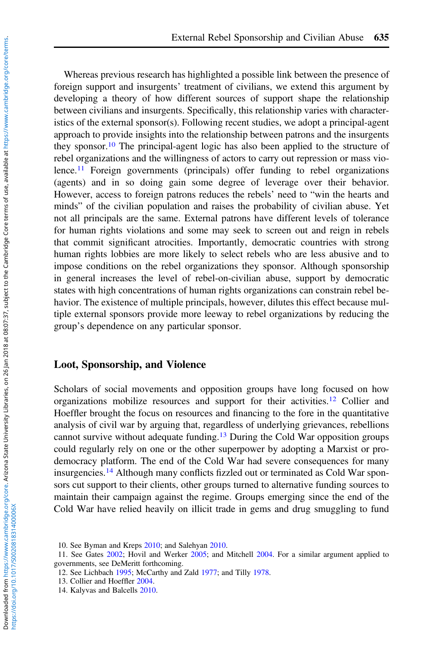Whereas previous research has highlighted a possible link between the presence of foreign support and insurgents' treatment of civilians, we extend this argument by developing a theory of how different sources of support shape the relationship between civilians and insurgents. Specifically, this relationship varies with characteristics of the external sponsor(s). Following recent studies, we adopt a principal-agent approach to provide insights into the relationship between patrons and the insurgents they sponsor.<sup>10</sup> The principal-agent logic has also been applied to the structure of rebel organizations and the willingness of actors to carry out repression or mass violence.11 Foreign governments (principals) offer funding to rebel organizations (agents) and in so doing gain some degree of leverage over their behavior. However, access to foreign patrons reduces the rebels' need to "win the hearts and minds" of the civilian population and raises the probability of civilian abuse. Yet not all principals are the same. External patrons have different levels of tolerance for human rights violations and some may seek to screen out and reign in rebels that commit significant atrocities. Importantly, democratic countries with strong human rights lobbies are more likely to select rebels who are less abusive and to impose conditions on the rebel organizations they sponsor. Although sponsorship in general increases the level of rebel-on-civilian abuse, support by democratic states with high concentrations of human rights organizations can constrain rebel behavior. The existence of multiple principals, however, dilutes this effect because multiple external sponsors provide more leeway to rebel organizations by reducing the group's dependence on any particular sponsor.

## Loot, Sponsorship, and Violence

Scholars of social movements and opposition groups have long focused on how organizations mobilize resources and support for their activities.<sup>12</sup> Collier and Hoeffler brought the focus on resources and financing to the fore in the quantitative analysis of civil war by arguing that, regardless of underlying grievances, rebellions cannot survive without adequate funding.<sup>13</sup> During the Cold War opposition groups could regularly rely on one or the other superpower by adopting a Marxist or prodemocracy platform. The end of the Cold War had severe consequences for many insurgencies.<sup>14</sup> Although many conflicts fizzled out or terminated as Cold War sponsors cut support to their clients, other groups turned to alternative funding sources to maintain their campaign against the regime. Groups emerging since the end of the Cold War have relied heavily on illicit trade in gems and drug smuggling to fund

<sup>10.</sup> See Byman and Kreps [2010;](#page-25-0) and Salehyan [2010](#page-28-0).

<sup>11.</sup> See Gates [2002;](#page-26-0) Hovil and Werker [2005](#page-26-0); and Mitchell [2004](#page-27-0). For a similar argument applied to governments, see DeMeritt forthcoming.

<sup>12.</sup> See Lichbach [1995;](#page-27-0) McCarthy and Zald [1977;](#page-27-0) and Tilly [1978.](#page-28-0)

<sup>13.</sup> Collier and Hoeffler [2004](#page-25-0).

<sup>14.</sup> Kalyvas and Balcells [2010](#page-26-0).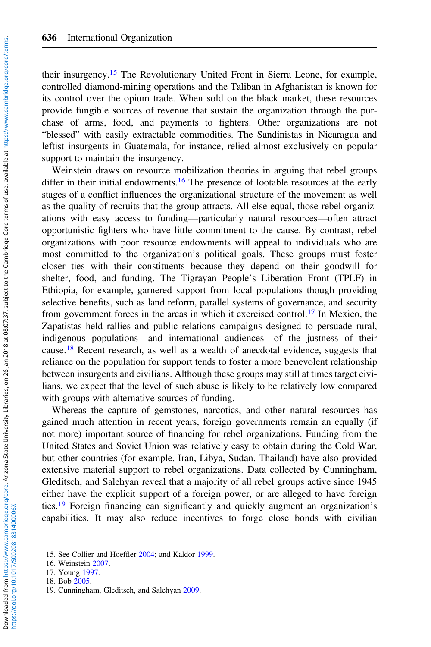their insurgency.15 The Revolutionary United Front in Sierra Leone, for example, controlled diamond-mining operations and the Taliban in Afghanistan is known for its control over the opium trade. When sold on the black market, these resources provide fungible sources of revenue that sustain the organization through the purchase of arms, food, and payments to fighters. Other organizations are not "blessed" with easily extractable commodities. The Sandinistas in Nicaragua and leftist insurgents in Guatemala, for instance, relied almost exclusively on popular support to maintain the insurgency.

Weinstein draws on resource mobilization theories in arguing that rebel groups differ in their initial endowments.<sup>16</sup> The presence of lootable resources at the early stages of a conflict influences the organizational structure of the movement as well as the quality of recruits that the group attracts. All else equal, those rebel organizations with easy access to funding—particularly natural resources—often attract opportunistic fighters who have little commitment to the cause. By contrast, rebel organizations with poor resource endowments will appeal to individuals who are most committed to the organization's political goals. These groups must foster closer ties with their constituents because they depend on their goodwill for shelter, food, and funding. The Tigrayan People's Liberation Front (TPLF) in Ethiopia, for example, garnered support from local populations though providing selective benefits, such as land reform, parallel systems of governance, and security from government forces in the areas in which it exercised control.<sup>17</sup> In Mexico, the Zapatistas held rallies and public relations campaigns designed to persuade rural, indigenous populations—and international audiences—of the justness of their cause.<sup>18</sup> Recent research, as well as a wealth of anecdotal evidence, suggests that reliance on the population for support tends to foster a more benevolent relationship between insurgents and civilians. Although these groups may still at times target civilians, we expect that the level of such abuse is likely to be relatively low compared with groups with alternative sources of funding.

Whereas the capture of gemstones, narcotics, and other natural resources has gained much attention in recent years, foreign governments remain an equally (if not more) important source of financing for rebel organizations. Funding from the United States and Soviet Union was relatively easy to obtain during the Cold War, but other countries (for example, Iran, Libya, Sudan, Thailand) have also provided extensive material support to rebel organizations. Data collected by Cunningham, Gleditsch, and Salehyan reveal that a majority of all rebel groups active since 1945 either have the explicit support of a foreign power, or are alleged to have foreign ties.<sup>19</sup> Foreign financing can significantly and quickly augment an organization's capabilities. It may also reduce incentives to forge close bonds with civilian

<sup>15.</sup> See Collier and Hoeffler [2004;](#page-25-0) and Kaldor [1999.](#page-26-0)

<sup>16.</sup> Weinstein [2007.](#page-28-0)

<sup>17.</sup> Young [1997](#page-28-0).

<sup>18.</sup> Bob [2005.](#page-25-0)

<sup>19.</sup> Cunningham, Gleditsch, and Salehyan [2009.](#page-26-0)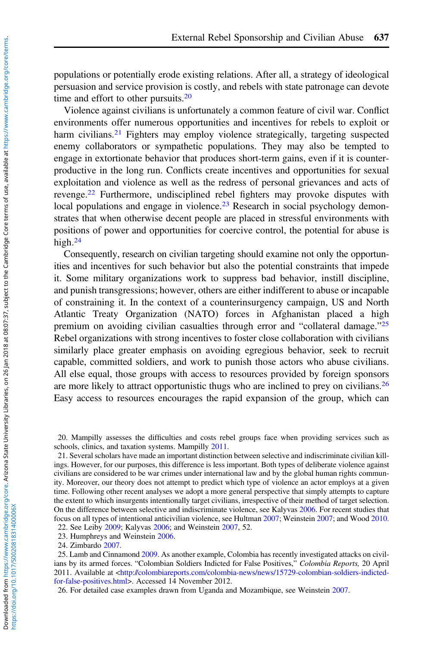populations or potentially erode existing relations. After all, a strategy of ideological persuasion and service provision is costly, and rebels with state patronage can devote time and effort to other pursuits.<sup>20</sup>

Violence against civilians is unfortunately a common feature of civil war. Conflict environments offer numerous opportunities and incentives for rebels to exploit or harm civilians.<sup>21</sup> Fighters may employ violence strategically, targeting suspected enemy collaborators or sympathetic populations. They may also be tempted to engage in extortionate behavior that produces short-term gains, even if it is counterproductive in the long run. Conflicts create incentives and opportunities for sexual exploitation and violence as well as the redress of personal grievances and acts of revenge.<sup>22</sup> Furthermore, undisciplined rebel fighters may provoke disputes with local populations and engage in violence.<sup>23</sup> Research in social psychology demonstrates that when otherwise decent people are placed in stressful environments with positions of power and opportunities for coercive control, the potential for abuse is high.<sup>24</sup>

Consequently, research on civilian targeting should examine not only the opportunities and incentives for such behavior but also the potential constraints that impede it. Some military organizations work to suppress bad behavior, instill discipline, and punish transgressions; however, others are either indifferent to abuse or incapable of constraining it. In the context of a counterinsurgency campaign, US and North Atlantic Treaty Organization (NATO) forces in Afghanistan placed a high premium on avoiding civilian casualties through error and "collateral damage."<sup>25</sup> Rebel organizations with strong incentives to foster close collaboration with civilians similarly place greater emphasis on avoiding egregious behavior, seek to recruit capable, committed soldiers, and work to punish those actors who abuse civilians. All else equal, those groups with access to resources provided by foreign sponsors are more likely to attract opportunistic thugs who are inclined to prey on civilians.<sup>26</sup> Easy access to resources encourages the rapid expansion of the group, which can

<sup>20.</sup> Mampilly assesses the difficulties and costs rebel groups face when providing services such as schools, clinics, and taxation systems. Mampilly [2011.](#page-27-0)

<sup>21.</sup> Several scholars have made an important distinction between selective and indiscriminate civilian killings. However, for our purposes, this difference is less important. Both types of deliberate violence against civilians are considered to be war crimes under international law and by the global human rights community. Moreover, our theory does not attempt to predict which type of violence an actor employs at a given time. Following other recent analyses we adopt a more general perspective that simply attempts to capture the extent to which insurgents intentionally target civilians, irrespective of their method of target selection. On the difference between selective and indiscriminate violence, see Kalyvas [2006](#page-26-0). For recent studies that focus on all types of intentional anticivilian violence, see Hultman [2007;](#page-26-0) Weinstein [2007;](#page-28-0) and Wood [2010](#page-28-0).

<sup>22.</sup> See Leiby [2009;](#page-27-0) Kalyvas [2006;](#page-26-0) and Weinstein [2007,](#page-28-0) 52.

<sup>23.</sup> Humphreys and Weinstein [2006.](#page-26-0)

<sup>24.</sup> Zimbardo [2007.](#page-28-0)

<sup>25.</sup> Lamb and Cinnamond [2009.](#page-27-0) As another example, Colombia has recently investigated attacks on civilians by its armed forces. "Colombian Soldiers Indicted for False Positives," Colombia Reports, 20 April 2011. Available at <[http://colombiareports.com/colombia-news/news/15729-colombian-soldiers-indicted](http://colombiareports.com/colombia-news/news/15729-colombian-soldiers-indicted-for-false-positives.html)[for-false-positives.html>](http://colombiareports.com/colombia-news/news/15729-colombian-soldiers-indicted-for-false-positives.html). Accessed 14 November 2012.

<sup>26.</sup> For detailed case examples drawn from Uganda and Mozambique, see Weinstein [2007.](#page-28-0)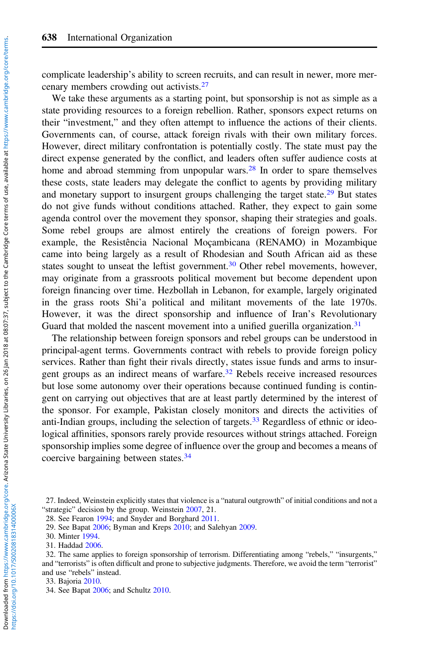complicate leadership's ability to screen recruits, and can result in newer, more mercenary members crowding out activists.<sup>27</sup>

We take these arguments as a starting point, but sponsorship is not as simple as a state providing resources to a foreign rebellion. Rather, sponsors expect returns on their "investment," and they often attempt to influence the actions of their clients. Governments can, of course, attack foreign rivals with their own military forces. However, direct military confrontation is potentially costly. The state must pay the direct expense generated by the conflict, and leaders often suffer audience costs at home and abroad stemming from unpopular wars.<sup>28</sup> In order to spare themselves these costs, state leaders may delegate the conflict to agents by providing military and monetary support to insurgent groups challenging the target state.<sup>29</sup> But states do not give funds without conditions attached. Rather, they expect to gain some agenda control over the movement they sponsor, shaping their strategies and goals. Some rebel groups are almost entirely the creations of foreign powers. For example, the Resistência Nacional Moçambicana (RENAMO) in Mozambique came into being largely as a result of Rhodesian and South African aid as these states sought to unseat the leftist government.<sup>30</sup> Other rebel movements, however, may originate from a grassroots political movement but become dependent upon foreign financing over time. Hezbollah in Lebanon, for example, largely originated in the grass roots Shi'a political and militant movements of the late 1970s. However, it was the direct sponsorship and influence of Iran's Revolutionary Guard that molded the nascent movement into a unified guerilla organization.<sup>31</sup>

The relationship between foreign sponsors and rebel groups can be understood in principal-agent terms. Governments contract with rebels to provide foreign policy services. Rather than fight their rivals directly, states issue funds and arms to insurgent groups as an indirect means of warfare.<sup>32</sup> Rebels receive increased resources but lose some autonomy over their operations because continued funding is contingent on carrying out objectives that are at least partly determined by the interest of the sponsor. For example, Pakistan closely monitors and directs the activities of anti-Indian groups, including the selection of targets.<sup>33</sup> Regardless of ethnic or ideological affinities, sponsors rarely provide resources without strings attached. Foreign sponsorship implies some degree of influence over the group and becomes a means of coercive bargaining between states.<sup>34</sup>

<sup>27.</sup> Indeed, Weinstein explicitly states that violence is a "natural outgrowth" of initial conditions and not a "strategic" decision by the group. Weinstein [2007](#page-28-0), 21.

<sup>28.</sup> See Fearon [1994](#page-26-0); and Snyder and Borghard [2011.](#page-28-0)

<sup>29.</sup> See Bapat [2006;](#page-25-0) Byman and Kreps [2010;](#page-25-0) and Salehyan [2009.](#page-28-0)

<sup>30.</sup> Minter [1994](#page-27-0).

<sup>31.</sup> Haddad [2006](#page-26-0).

<sup>32.</sup> The same applies to foreign sponsorship of terrorism. Differentiating among "rebels," "insurgents," and "terrorists" is often difficult and prone to subjective judgments. Therefore, we avoid the term "terrorist" and use "rebels" instead.

<sup>33.</sup> Bajoria [2010.](#page-25-0)

<sup>34.</sup> See Bapat [2006;](#page-25-0) and Schultz [2010](#page-28-0).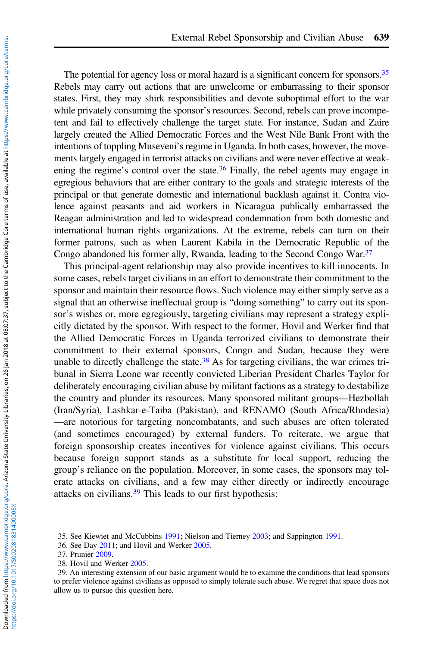The potential for agency loss or moral hazard is a significant concern for sponsors.<sup>35</sup> Rebels may carry out actions that are unwelcome or embarrassing to their sponsor states. First, they may shirk responsibilities and devote suboptimal effort to the war while privately consuming the sponsor's resources. Second, rebels can prove incompetent and fail to effectively challenge the target state. For instance, Sudan and Zaire largely created the Allied Democratic Forces and the West Nile Bank Front with the intentions of toppling Museveni's regime in Uganda. In both cases, however, the movements largely engaged in terrorist attacks on civilians and were never effective at weakening the regime's control over the state. $36$  Finally, the rebel agents may engage in egregious behaviors that are either contrary to the goals and strategic interests of the principal or that generate domestic and international backlash against it. Contra violence against peasants and aid workers in Nicaragua publically embarrassed the Reagan administration and led to widespread condemnation from both domestic and international human rights organizations. At the extreme, rebels can turn on their former patrons, such as when Laurent Kabila in the Democratic Republic of the Congo abandoned his former ally, Rwanda, leading to the Second Congo War.<sup>37</sup>

This principal-agent relationship may also provide incentives to kill innocents. In some cases, rebels target civilians in an effort to demonstrate their commitment to the sponsor and maintain their resource flows. Such violence may either simply serve as a signal that an otherwise ineffectual group is "doing something" to carry out its sponsor's wishes or, more egregiously, targeting civilians may represent a strategy explicitly dictated by the sponsor. With respect to the former, Hovil and Werker find that the Allied Democratic Forces in Uganda terrorized civilians to demonstrate their commitment to their external sponsors, Congo and Sudan, because they were unable to directly challenge the state. $38$  As for targeting civilians, the war crimes tribunal in Sierra Leone war recently convicted Liberian President Charles Taylor for deliberately encouraging civilian abuse by militant factions as a strategy to destabilize the country and plunder its resources. Many sponsored militant groups—Hezbollah (Iran/Syria), Lashkar-e-Taiba (Pakistan), and RENAMO (South Africa/Rhodesia) —are notorious for targeting noncombatants, and such abuses are often tolerated (and sometimes encouraged) by external funders. To reiterate, we argue that foreign sponsorship creates incentives for violence against civilians. This occurs because foreign support stands as a substitute for local support, reducing the group's reliance on the population. Moreover, in some cases, the sponsors may tolerate attacks on civilians, and a few may either directly or indirectly encourage attacks on civilians. $39$  This leads to our first hypothesis:

<sup>35.</sup> See Kiewiet and McCubbins [1991;](#page-27-0) Nielson and Tierney [2003](#page-27-0); and Sappington [1991.](#page-28-0)

<sup>36.</sup> See Day [2011;](#page-26-0) and Hovil and Werker [2005](#page-26-0).

<sup>37.</sup> Prunier [2009.](#page-28-0)

<sup>38.</sup> Hovil and Werker [2005.](#page-26-0)

<sup>39.</sup> An interesting extension of our basic argument would be to examine the conditions that lead sponsors to prefer violence against civilians as opposed to simply tolerate such abuse. We regret that space does not allow us to pursue this question here.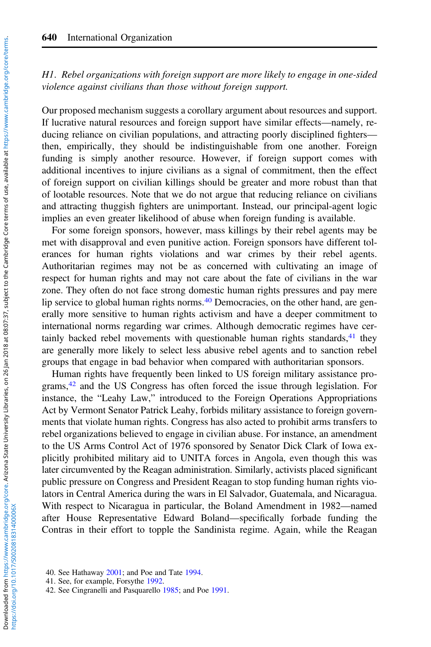H1. Rebel organizations with foreign support are more likely to engage in one-sided violence against civilians than those without foreign support.

Our proposed mechanism suggests a corollary argument about resources and support. If lucrative natural resources and foreign support have similar effects—namely, reducing reliance on civilian populations, and attracting poorly disciplined fighters then, empirically, they should be indistinguishable from one another. Foreign funding is simply another resource. However, if foreign support comes with additional incentives to injure civilians as a signal of commitment, then the effect of foreign support on civilian killings should be greater and more robust than that of lootable resources. Note that we do not argue that reducing reliance on civilians and attracting thuggish fighters are unimportant. Instead, our principal-agent logic implies an even greater likelihood of abuse when foreign funding is available.

For some foreign sponsors, however, mass killings by their rebel agents may be met with disapproval and even punitive action. Foreign sponsors have different tolerances for human rights violations and war crimes by their rebel agents. Authoritarian regimes may not be as concerned with cultivating an image of respect for human rights and may not care about the fate of civilians in the war zone. They often do not face strong domestic human rights pressures and pay mere lip service to global human rights norms.<sup>40</sup> Democracies, on the other hand, are generally more sensitive to human rights activism and have a deeper commitment to international norms regarding war crimes. Although democratic regimes have certainly backed rebel movements with questionable human rights standards,  $4<sup>1</sup>$  they are generally more likely to select less abusive rebel agents and to sanction rebel groups that engage in bad behavior when compared with authoritarian sponsors.

Human rights have frequently been linked to US foreign military assistance programs, $42$  and the US Congress has often forced the issue through legislation. For instance, the "Leahy Law," introduced to the Foreign Operations Appropriations Act by Vermont Senator Patrick Leahy, forbids military assistance to foreign governments that violate human rights. Congress has also acted to prohibit arms transfers to rebel organizations believed to engage in civilian abuse. For instance, an amendment to the US Arms Control Act of 1976 sponsored by Senator Dick Clark of Iowa explicitly prohibited military aid to UNITA forces in Angola, even though this was later circumvented by the Reagan administration. Similarly, activists placed significant public pressure on Congress and President Reagan to stop funding human rights violators in Central America during the wars in El Salvador, Guatemala, and Nicaragua. With respect to Nicaragua in particular, the Boland Amendment in 1982—named after House Representative Edward Boland—specifically forbade funding the Contras in their effort to topple the Sandinista regime. Again, while the Reagan

<sup>40.</sup> See Hathaway [2001;](#page-26-0) and Poe and Tate [1994](#page-27-0).

<sup>41.</sup> See, for example, Forsythe [1992.](#page-26-0)

<sup>42.</sup> See Cingranelli and Pasquarello [1985](#page-25-0); and Poe [1991.](#page-27-0)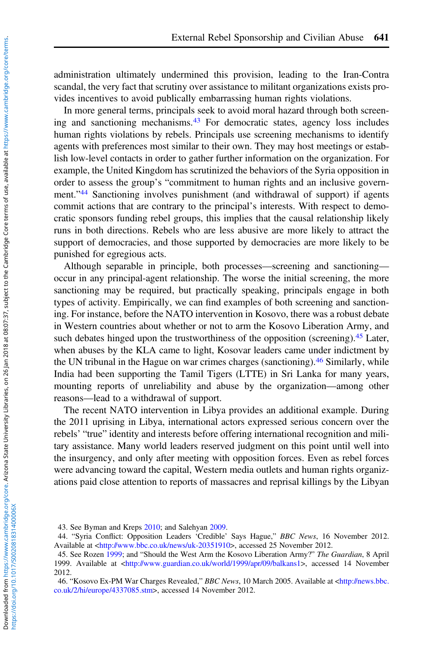administration ultimately undermined this provision, leading to the Iran-Contra scandal, the very fact that scrutiny over assistance to militant organizations exists provides incentives to avoid publically embarrassing human rights violations.

In more general terms, principals seek to avoid moral hazard through both screening and sanctioning mechanisms.<sup>43</sup> For democratic states, agency loss includes human rights violations by rebels. Principals use screening mechanisms to identify agents with preferences most similar to their own. They may host meetings or establish low-level contacts in order to gather further information on the organization. For example, the United Kingdom has scrutinized the behaviors of the Syria opposition in order to assess the group's "commitment to human rights and an inclusive government."<sup>44</sup> Sanctioning involves punishment (and withdrawal of support) if agents commit actions that are contrary to the principal's interests. With respect to democratic sponsors funding rebel groups, this implies that the causal relationship likely runs in both directions. Rebels who are less abusive are more likely to attract the support of democracies, and those supported by democracies are more likely to be punished for egregious acts.

Although separable in principle, both processes—screening and sanctioning occur in any principal-agent relationship. The worse the initial screening, the more sanctioning may be required, but practically speaking, principals engage in both types of activity. Empirically, we can find examples of both screening and sanctioning. For instance, before the NATO intervention in Kosovo, there was a robust debate in Western countries about whether or not to arm the Kosovo Liberation Army, and such debates hinged upon the trustworthiness of the opposition (screening).<sup>45</sup> Later, when abuses by the KLA came to light, Kosovar leaders came under indictment by the UN tribunal in the Hague on war crimes charges (sanctioning).<sup>46</sup> Similarly, while India had been supporting the Tamil Tigers (LTTE) in Sri Lanka for many years, mounting reports of unreliability and abuse by the organization—among other reasons—lead to a withdrawal of support.

The recent NATO intervention in Libya provides an additional example. During the 2011 uprising in Libya, international actors expressed serious concern over the rebels' "true" identity and interests before offering international recognition and military assistance. Many world leaders reserved judgment on this point until well into the insurgency, and only after meeting with opposition forces. Even as rebel forces were advancing toward the capital, Western media outlets and human rights organizations paid close attention to reports of massacres and reprisal killings by the Libyan

<sup>43.</sup> See Byman and Kreps [2010;](#page-25-0) and Salehyan [2009](#page-28-0).

<sup>44. &</sup>quot;Syria Conflict: Opposition Leaders 'Credible' Says Hague," BBC News, 16 November 2012. Available at <[http://www.bbc.co.uk/news/uk-20351910>](http://www.bbc.co.uk/news/uk-20351910), accessed 25 November 2012.

<sup>45.</sup> See Rozen [1999](#page-28-0); and "Should the West Arm the Kosovo Liberation Army?" The Guardian, 8 April 1999. Available at <<http://www.guardian.co.uk/world/1999/apr/09/balkans1>>, accessed 14 November 2012.

<sup>46. &</sup>quot;Kosovo Ex-PM War Charges Revealed," BBC News, 10 March 2005. Available at [<http://news.bbc.](http://news.bbc.co.uk/2/hi/europe/4337085.stm) [co.uk/2/hi/europe/4337085.stm](http://news.bbc.co.uk/2/hi/europe/4337085.stm)>, accessed 14 November 2012.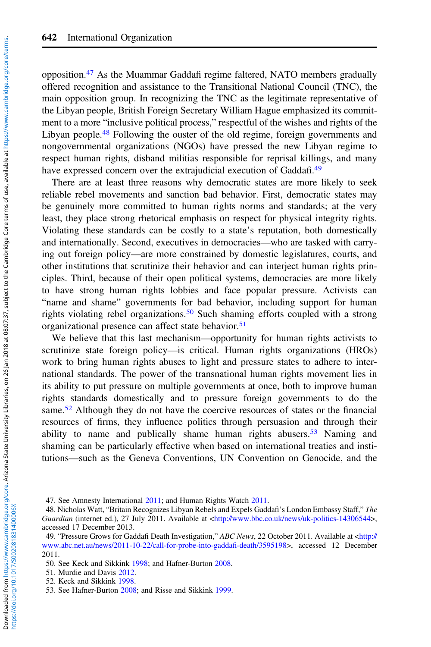opposition.<sup>47</sup> As the Muammar Gaddafi regime faltered, NATO members gradually offered recognition and assistance to the Transitional National Council (TNC), the main opposition group. In recognizing the TNC as the legitimate representative of the Libyan people, British Foreign Secretary William Hague emphasized its commitment to a more "inclusive political process," respectful of the wishes and rights of the Libyan people.<sup>48</sup> Following the ouster of the old regime, foreign governments and nongovernmental organizations (NGOs) have pressed the new Libyan regime to respect human rights, disband militias responsible for reprisal killings, and many have expressed concern over the extrajudicial execution of Gaddafi.<sup>49</sup>

There are at least three reasons why democratic states are more likely to seek reliable rebel movements and sanction bad behavior. First, democratic states may be genuinely more committed to human rights norms and standards; at the very least, they place strong rhetorical emphasis on respect for physical integrity rights. Violating these standards can be costly to a state's reputation, both domestically and internationally. Second, executives in democracies—who are tasked with carrying out foreign policy—are more constrained by domestic legislatures, courts, and other institutions that scrutinize their behavior and can interject human rights principles. Third, because of their open political systems, democracies are more likely to have strong human rights lobbies and face popular pressure. Activists can "name and shame" governments for bad behavior, including support for human rights violating rebel organizations.<sup>50</sup> Such shaming efforts coupled with a strong organizational presence can affect state behavior.<sup>51</sup>

We believe that this last mechanism—opportunity for human rights activists to scrutinize state foreign policy—is critical. Human rights organizations (HROs) work to bring human rights abuses to light and pressure states to adhere to international standards. The power of the transnational human rights movement lies in its ability to put pressure on multiple governments at once, both to improve human rights standards domestically and to pressure foreign governments to do the same.<sup>52</sup> Although they do not have the coercive resources of states or the financial resources of firms, they influence politics through persuasion and through their ability to name and publically shame human rights abusers.<sup>53</sup> Naming and shaming can be particularly effective when based on international treaties and institutions—such as the Geneva Conventions, UN Convention on Genocide, and the

<sup>47.</sup> See Amnesty International [2011;](#page-25-0) and Human Rights Watch [2011.](#page-26-0)

<sup>48.</sup> Nicholas Watt, "Britain Recognizes Libyan Rebels and Expels Gaddafi's London Embassy Staff," The Guardian (internet ed.), 27 July 2011. Available at <[http://www.bbc.co.uk/news/uk-politics-14306544>](http://www.bbc.co.uk/news/uk-politics-14306544), accessed 17 December 2013.

<sup>49. &</sup>quot;Pressure Grows for Gaddafi Death Investigation," ABC News, 22 October 2011. Available at [<http://](http://www.abc.net.au/news/2011-10-22/call-for-probe-into-gaddafi-death/3595198) [www.abc.net.au/news/2011-10-22/call-for-probe-into-gadda](http://www.abc.net.au/news/2011-10-22/call-for-probe-into-gaddafi-death/3595198)fi-death/3595198>, accessed 12 December 2011.

<sup>50.</sup> See Keck and Sikkink [1998](#page-27-0); and Hafner-Burton [2008](#page-26-0).

<sup>51.</sup> Murdie and Davis [2012.](#page-27-0)

<sup>52.</sup> Keck and Sikkink [1998](#page-27-0).

<sup>53.</sup> See Hafner-Burton [2008;](#page-26-0) and Risse and Sikkink [1999.](#page-28-0)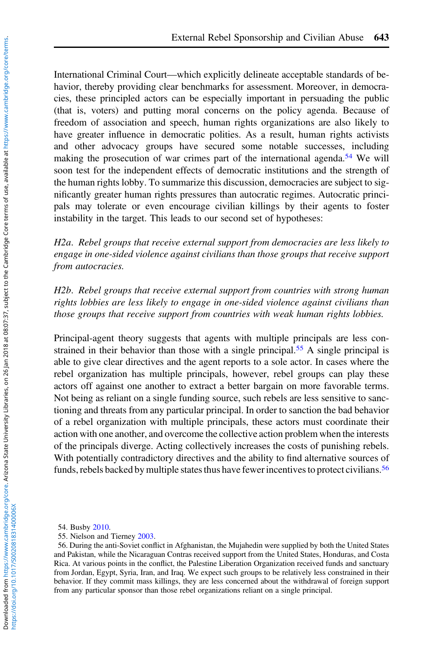International Criminal Court—which explicitly delineate acceptable standards of behavior, thereby providing clear benchmarks for assessment. Moreover, in democracies, these principled actors can be especially important in persuading the public (that is, voters) and putting moral concerns on the policy agenda. Because of freedom of association and speech, human rights organizations are also likely to have greater influence in democratic polities. As a result, human rights activists and other advocacy groups have secured some notable successes, including making the prosecution of war crimes part of the international agenda.<sup>54</sup> We will soon test for the independent effects of democratic institutions and the strength of the human rights lobby. To summarize this discussion, democracies are subject to significantly greater human rights pressures than autocratic regimes. Autocratic principals may tolerate or even encourage civilian killings by their agents to foster instability in the target. This leads to our second set of hypotheses:

H2a. Rebel groups that receive external support from democracies are less likely to engage in one-sided violence against civilians than those groups that receive support from autocracies.

H2b. Rebel groups that receive external support from countries with strong human rights lobbies are less likely to engage in one-sided violence against civilians than those groups that receive support from countries with weak human rights lobbies.

Principal-agent theory suggests that agents with multiple principals are less constrained in their behavior than those with a single principal.<sup>55</sup> A single principal is able to give clear directives and the agent reports to a sole actor. In cases where the rebel organization has multiple principals, however, rebel groups can play these actors off against one another to extract a better bargain on more favorable terms. Not being as reliant on a single funding source, such rebels are less sensitive to sanctioning and threats from any particular principal. In order to sanction the bad behavior of a rebel organization with multiple principals, these actors must coordinate their action with one another, and overcome the collective action problem when the interests of the principals diverge. Acting collectively increases the costs of punishing rebels. With potentially contradictory directives and the ability to find alternative sources of funds, rebels backed by multiple states thus have fewer incentives to protect civilians.<sup>56</sup>

<sup>54.</sup> Busby [2010](#page-25-0).

<sup>55.</sup> Nielson and Tierney [2003](#page-27-0).

<sup>56.</sup> During the anti-Soviet conflict in Afghanistan, the Mujahedin were supplied by both the United States and Pakistan, while the Nicaraguan Contras received support from the United States, Honduras, and Costa Rica. At various points in the conflict, the Palestine Liberation Organization received funds and sanctuary from Jordan, Egypt, Syria, Iran, and Iraq. We expect such groups to be relatively less constrained in their behavior. If they commit mass killings, they are less concerned about the withdrawal of foreign support from any particular sponsor than those rebel organizations reliant on a single principal.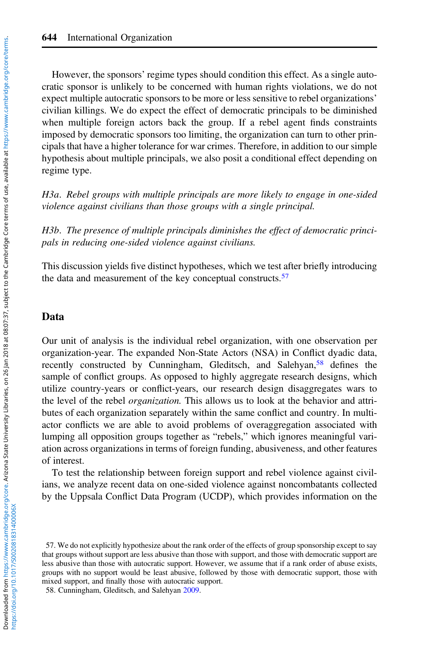However, the sponsors' regime types should condition this effect. As a single autocratic sponsor is unlikely to be concerned with human rights violations, we do not expect multiple autocratic sponsors to be more or less sensitive to rebel organizations' civilian killings. We do expect the effect of democratic principals to be diminished when multiple foreign actors back the group. If a rebel agent finds constraints imposed by democratic sponsors too limiting, the organization can turn to other principals that have a higher tolerance for war crimes. Therefore, in addition to our simple hypothesis about multiple principals, we also posit a conditional effect depending on regime type.

H3a. Rebel groups with multiple principals are more likely to engage in one-sided violence against civilians than those groups with a single principal.

H3b. The presence of multiple principals diminishes the effect of democratic principals in reducing one-sided violence against civilians.

This discussion yields five distinct hypotheses, which we test after briefly introducing the data and measurement of the key conceptual constructs.<sup>57</sup>

#### Data

Our unit of analysis is the individual rebel organization, with one observation per organization-year. The expanded Non-State Actors (NSA) in Conflict dyadic data, recently constructed by Cunningham, Gleditsch, and Salehyan,<sup>58</sup> defines the sample of conflict groups. As opposed to highly aggregate research designs, which utilize country-years or conflict-years, our research design disaggregates wars to the level of the rebel *organization*. This allows us to look at the behavior and attributes of each organization separately within the same conflict and country. In multiactor conflicts we are able to avoid problems of overaggregation associated with lumping all opposition groups together as "rebels," which ignores meaningful variation across organizations in terms of foreign funding, abusiveness, and other features of interest.

To test the relationship between foreign support and rebel violence against civilians, we analyze recent data on one-sided violence against noncombatants collected by the Uppsala Conflict Data Program (UCDP), which provides information on the

<sup>57.</sup> We do not explicitly hypothesize about the rank order of the effects of group sponsorship except to say that groups without support are less abusive than those with support, and those with democratic support are less abusive than those with autocratic support. However, we assume that if a rank order of abuse exists, groups with no support would be least abusive, followed by those with democratic support, those with mixed support, and finally those with autocratic support.

<sup>58.</sup> Cunningham, Gleditsch, and Salehyan [2009.](#page-26-0)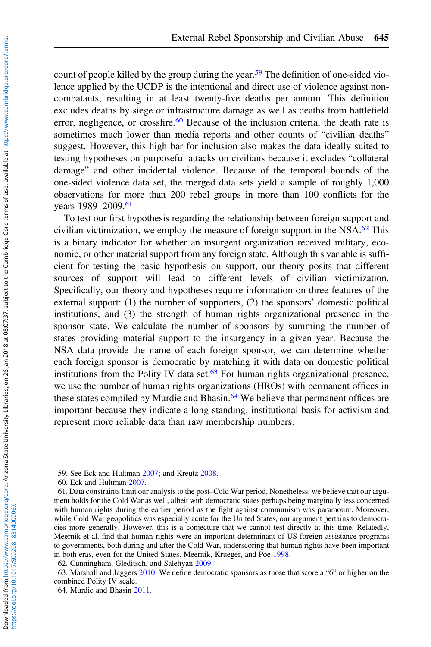count of people killed by the group during the year.<sup>59</sup> The definition of one-sided violence applied by the UCDP is the intentional and direct use of violence against noncombatants, resulting in at least twenty-five deaths per annum. This definition excludes deaths by siege or infrastructure damage as well as deaths from battlefield error, negligence, or crossfire. $60$  Because of the inclusion criteria, the death rate is sometimes much lower than media reports and other counts of "civilian deaths" suggest. However, this high bar for inclusion also makes the data ideally suited to testing hypotheses on purposeful attacks on civilians because it excludes "collateral damage" and other incidental violence. Because of the temporal bounds of the one-sided violence data set, the merged data sets yield a sample of roughly 1,000 observations for more than 200 rebel groups in more than 100 conflicts for the years 1989-2009.<sup>61</sup>

To test our first hypothesis regarding the relationship between foreign support and civilian victimization, we employ the measure of foreign support in the NSA. $62$  This is a binary indicator for whether an insurgent organization received military, economic, or other material support from any foreign state. Although this variable is sufficient for testing the basic hypothesis on support, our theory posits that different sources of support will lead to different levels of civilian victimization. Specifically, our theory and hypotheses require information on three features of the external support: (1) the number of supporters, (2) the sponsors' domestic political institutions, and (3) the strength of human rights organizational presence in the sponsor state. We calculate the number of sponsors by summing the number of states providing material support to the insurgency in a given year. Because the NSA data provide the name of each foreign sponsor, we can determine whether each foreign sponsor is democratic by matching it with data on domestic political institutions from the Polity IV data set. $63$  For human rights organizational presence, we use the number of human rights organizations (HROs) with permanent offices in these states compiled by Murdie and Bhasin.<sup>64</sup> We believe that permanent offices are important because they indicate a long-standing, institutional basis for activism and represent more reliable data than raw membership numbers.

62. Cunningham, Gleditsch, and Salehyan [2009.](#page-26-0)

63. Marshall and Jaggers [2010](#page-27-0). We define democratic sponsors as those that score a "6" or higher on the combined Polity IV scale.

64. Murdie and Bhasin [2011](#page-27-0).

<sup>59.</sup> See Eck and Hultman [2007;](#page-26-0) and Kreutz [2008.](#page-27-0)

<sup>60.</sup> Eck and Hultman [2007.](#page-26-0)

<sup>61.</sup> Data constraints limit our analysis to the post–Cold War period. Nonetheless, we believe that our argument holds for the Cold War as well, albeit with democratic states perhaps being marginally less concerned with human rights during the earlier period as the fight against communism was paramount. Moreover, while Cold War geopolitics was especially acute for the United States, our argument pertains to democracies more generally. However, this is a conjecture that we cannot test directly at this time. Relatedly, Meernik et al. find that human rights were an important determinant of US foreign assistance programs to governments, both during and after the Cold War, underscoring that human rights have been important in both eras, even for the United States. Meernik, Krueger, and Poe [1998.](#page-27-0)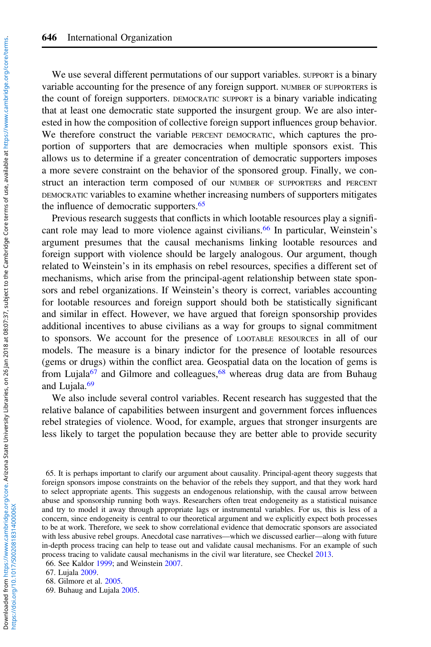We use several different permutations of our support variables. SUPPORT is a binary variable accounting for the presence of any foreign support. NUMBER OF SUPPORTERS is the count of foreign supporters. DEMOCRATIC SUPPORT is a binary variable indicating that at least one democratic state supported the insurgent group. We are also interested in how the composition of collective foreign support influences group behavior. We therefore construct the variable PERCENT DEMOCRATIC, which captures the proportion of supporters that are democracies when multiple sponsors exist. This allows us to determine if a greater concentration of democratic supporters imposes a more severe constraint on the behavior of the sponsored group. Finally, we construct an interaction term composed of our NUMBER OF SUPPORTERS and PERCENT DEMOCRATIC variables to examine whether increasing numbers of supporters mitigates the influence of democratic supporters.<sup>65</sup>

Previous research suggests that conflicts in which lootable resources play a significant role may lead to more violence against civilians.<sup>66</sup> In particular, Weinstein's argument presumes that the causal mechanisms linking lootable resources and foreign support with violence should be largely analogous. Our argument, though related to Weinstein's in its emphasis on rebel resources, specifies a different set of mechanisms, which arise from the principal-agent relationship between state sponsors and rebel organizations. If Weinstein's theory is correct, variables accounting for lootable resources and foreign support should both be statistically significant and similar in effect. However, we have argued that foreign sponsorship provides additional incentives to abuse civilians as a way for groups to signal commitment to sponsors. We account for the presence of LOOTABLE RESOURCES in all of our models. The measure is a binary indictor for the presence of lootable resources (gems or drugs) within the conflict area. Geospatial data on the location of gems is from Lujala<sup>67</sup> and Gilmore and colleagues,<sup>68</sup> whereas drug data are from Buhaug and Lujala.<sup>69</sup>

We also include several control variables. Recent research has suggested that the relative balance of capabilities between insurgent and government forces influences rebel strategies of violence. Wood, for example, argues that stronger insurgents are less likely to target the population because they are better able to provide security

65. It is perhaps important to clarify our argument about causality. Principal-agent theory suggests that foreign sponsors impose constraints on the behavior of the rebels they support, and that they work hard to select appropriate agents. This suggests an endogenous relationship, with the causal arrow between abuse and sponsorship running both ways. Researchers often treat endogeneity as a statistical nuisance and try to model it away through appropriate lags or instrumental variables. For us, this is less of a concern, since endogeneity is central to our theoretical argument and we explicitly expect both processes to be at work. Therefore, we seek to show correlational evidence that democratic sponsors are associated with less abusive rebel groups. Anecdotal case narratives—which we discussed earlier—along with future in-depth process tracing can help to tease out and validate causal mechanisms. For an example of such process tracing to validate causal mechanisms in the civil war literature, see Checkel [2013](#page-25-0).

<sup>66.</sup> See Kaldor [1999](#page-26-0); and Weinstein [2007](#page-28-0).

<sup>67.</sup> Lujala [2009.](#page-27-0)

<sup>68.</sup> Gilmore et al. [2005](#page-26-0).

<sup>69.</sup> Buhaug and Lujala [2005.](#page-25-0)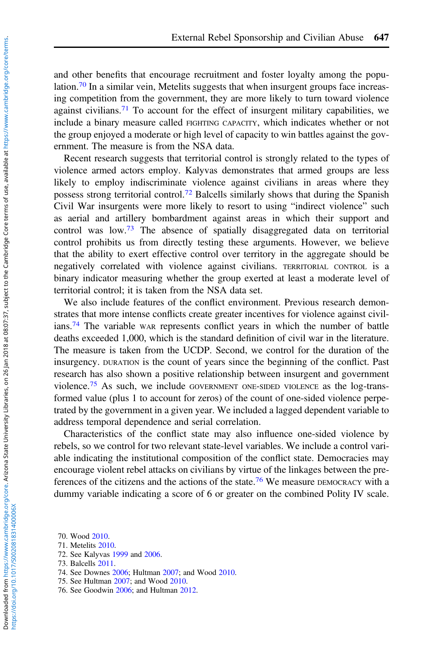and other benefits that encourage recruitment and foster loyalty among the population.<sup>70</sup> In a similar vein, Metelits suggests that when insurgent groups face increasing competition from the government, they are more likely to turn toward violence against civilians.<sup>71</sup> To account for the effect of insurgent military capabilities, we include a binary measure called FIGHTING CAPACITY, which indicates whether or not the group enjoyed a moderate or high level of capacity to win battles against the government. The measure is from the NSA data.

Recent research suggests that territorial control is strongly related to the types of violence armed actors employ. Kalyvas demonstrates that armed groups are less likely to employ indiscriminate violence against civilians in areas where they possess strong territorial control.<sup>72</sup> Balcells similarly shows that during the Spanish Civil War insurgents were more likely to resort to using "indirect violence" such as aerial and artillery bombardment against areas in which their support and control was low.<sup>73</sup> The absence of spatially disaggregated data on territorial control prohibits us from directly testing these arguments. However, we believe that the ability to exert effective control over territory in the aggregate should be negatively correlated with violence against civilians. TERRITORIAL CONTROL is a binary indicator measuring whether the group exerted at least a moderate level of territorial control; it is taken from the NSA data set.

We also include features of the conflict environment. Previous research demonstrates that more intense conflicts create greater incentives for violence against civilians.<sup>74</sup> The variable WAR represents conflict years in which the number of battle deaths exceeded 1,000, which is the standard definition of civil war in the literature. The measure is taken from the UCDP. Second, we control for the duration of the insurgency. DURATION is the count of years since the beginning of the conflict. Past research has also shown a positive relationship between insurgent and government violence.<sup>75</sup> As such, we include GOVERNMENT ONE-SIDED VIOLENCE as the log-transformed value (plus 1 to account for zeros) of the count of one-sided violence perpetrated by the government in a given year. We included a lagged dependent variable to address temporal dependence and serial correlation.

Characteristics of the conflict state may also influence one-sided violence by rebels, so we control for two relevant state-level variables. We include a control variable indicating the institutional composition of the conflict state. Democracies may encourage violent rebel attacks on civilians by virtue of the linkages between the preferences of the citizens and the actions of the state.<sup>76</sup> We measure DEMOCRACY with a dummy variable indicating a score of 6 or greater on the combined Polity IV scale.

- 72. See Kalyvas [1999](#page-26-0) and [2006.](#page-26-0)
- 73. Balcells [2011](#page-25-0).

- 75. See Hultman [2007](#page-26-0); and Wood [2010](#page-28-0).
- 76. See Goodwin [2006](#page-26-0); and Hultman [2012](#page-26-0).

<sup>70.</sup> Wood [2010](#page-28-0).

<sup>71.</sup> Metelits [2010](#page-27-0).

<sup>74.</sup> See Downes [2006](#page-26-0); Hultman [2007](#page-26-0); and Wood [2010](#page-28-0).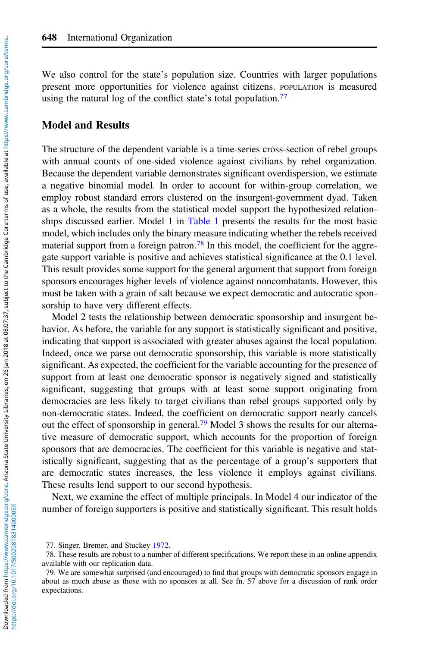We also control for the state's population size. Countries with larger populations present more opportunities for violence against citizens. POPULATION is measured using the natural log of the conflict state's total population.<sup>77</sup>

## Model and Results

The structure of the dependent variable is a time-series cross-section of rebel groups with annual counts of one-sided violence against civilians by rebel organization. Because the dependent variable demonstrates significant overdispersion, we estimate a negative binomial model. In order to account for within-group correlation, we employ robust standard errors clustered on the insurgent-government dyad. Taken as a whole, the results from the statistical model support the hypothesized relationships discussed earlier. Model 1 in [Table 1](#page-16-0) presents the results for the most basic model, which includes only the binary measure indicating whether the rebels received material support from a foreign patron.<sup>78</sup> In this model, the coefficient for the aggregate support variable is positive and achieves statistical significance at the 0.1 level. This result provides some support for the general argument that support from foreign sponsors encourages higher levels of violence against noncombatants. However, this must be taken with a grain of salt because we expect democratic and autocratic sponsorship to have very different effects.

Model 2 tests the relationship between democratic sponsorship and insurgent behavior. As before, the variable for any support is statistically significant and positive, indicating that support is associated with greater abuses against the local population. Indeed, once we parse out democratic sponsorship, this variable is more statistically significant. As expected, the coefficient for the variable accounting for the presence of support from at least one democratic sponsor is negatively signed and statistically significant, suggesting that groups with at least some support originating from democracies are less likely to target civilians than rebel groups supported only by non-democratic states. Indeed, the coefficient on democratic support nearly cancels out the effect of sponsorship in general.<sup>79</sup> Model 3 shows the results for our alternative measure of democratic support, which accounts for the proportion of foreign sponsors that are democracies. The coefficient for this variable is negative and statistically significant, suggesting that as the percentage of a group's supporters that are democratic states increases, the less violence it employs against civilians. These results lend support to our second hypothesis.

Next, we examine the effect of multiple principals. In Model 4 our indicator of the number of foreign supporters is positive and statistically significant. This result holds

<sup>77.</sup> Singer, Bremer, and Stuckey [1972](#page-28-0).

<sup>78.</sup> These results are robust to a number of different specifications. We report these in an online appendix available with our replication data.

<sup>79.</sup> We are somewhat surprised (and encouraged) to find that groups with democratic sponsors engage in about as much abuse as those with no sponsors at all. See fn. 57 above for a discussion of rank order expectations.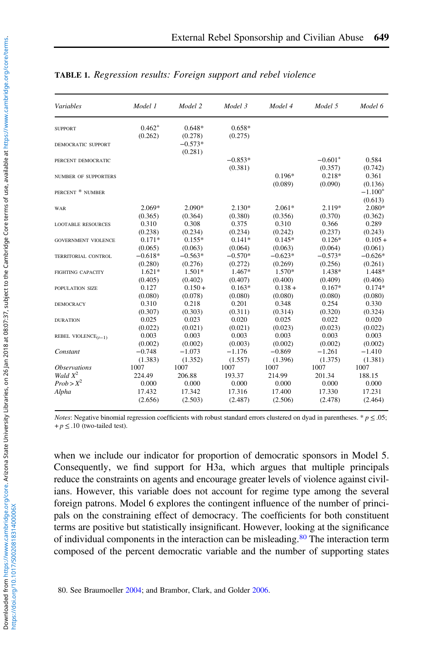| Variables                                    | Model 1     | Model 2   | Model 3   | Model 4   | Model 5               | Model 6      |
|----------------------------------------------|-------------|-----------|-----------|-----------|-----------------------|--------------|
| <b>SUPPORT</b>                               | $0.462^{+}$ | $0.648*$  | $0.658*$  |           |                       |              |
|                                              | (0.262)     | (0.278)   | (0.275)   |           |                       |              |
| DEMOCRATIC SUPPORT                           |             | $-0.573*$ |           |           |                       |              |
|                                              |             | (0.281)   |           |           |                       |              |
| PERCENT DEMOCRATIC                           |             |           | $-0.853*$ |           | $-0.601$ <sup>+</sup> | 0.584        |
|                                              |             |           | (0.381)   |           | (0.357)               | (0.742)      |
| <b>NUMBER OF SUPPORTERS</b>                  |             |           |           | $0.196*$  | $0.218*$              | 0.361        |
|                                              |             |           |           | (0.089)   | (0.090)               | (0.136)      |
| PERCENT * NUMBER                             |             |           |           |           |                       | $-1.100^{+}$ |
|                                              |             |           |           |           |                       | (0.613)      |
| WAR                                          | 2.069*      | $2.090*$  | $2.130*$  | $2.061*$  | 2.119*                | 2.080*       |
|                                              | (0.365)     | (0.364)   | (0.380)   | (0.356)   | (0.370)               | (0.362)      |
| <b>LOOTABLE RESOURCES</b>                    | 0.310       | 0.308     | 0.375     | 0.310     | 0.366                 | 0.289        |
|                                              | (0.238)     | (0.234)   | (0.234)   | (0.242)   | (0.237)               | (0.243)      |
| <b>GOVERNMENT VIOLENCE</b>                   | $0.171*$    | $0.155*$  | $0.141*$  | $0.145*$  | $0.126*$              | $0.105 +$    |
|                                              | (0.065)     | (0.063)   | (0.064)   | (0.063)   | (0.064)               | (0.061)      |
| <b>TERRITORIAL CONTROL</b>                   | $-0.618*$   | $-0.563*$ | $-0.570*$ | $-0.623*$ | $-0.573*$             | $-0.626*$    |
|                                              | (0.280)     | (0.276)   | (0.272)   | (0.269)   | (0.256)               | (0.261)      |
| <b>FIGHTING CAPACITY</b>                     | $1.621*$    | $1.501*$  | 1.467*    | 1.570*    | 1.438*                | 1.448*       |
|                                              | (0.405)     | (0.402)   | (0.407)   | (0.400)   | (0.409)               | (0.406)      |
| POPULATION SIZE                              | 0.127       | $0.150 +$ | $0.163*$  | $0.138 +$ | $0.167*$              | $0.174*$     |
|                                              | (0.080)     | (0.078)   | (0.080)   | (0.080)   | (0.080)               | (0.080)      |
| <b>DEMOCRACY</b>                             | 0.310       | 0.218     | 0.201     | 0.348     | 0.254                 | 0.330        |
|                                              | (0.307)     | (0.303)   | (0.311)   | (0.314)   | (0.320)               | (0.324)      |
| <b>DURATION</b>                              | 0.025       | 0.023     | 0.020     | 0.025     | 0.022                 | 0.020        |
|                                              | (0.022)     | (0.021)   | (0.021)   | (0.023)   | (0.023)               | (0.022)      |
| REBEL VIOLENCE <sub><math>(t-1)</math></sub> | 0.003       | 0.003     | 0.003     | 0.003     | 0.003                 | 0.003        |
|                                              | (0.002)     | (0.002)   | (0.003)   | (0.002)   | (0.002)               | (0.002)      |
| Constant                                     | $-0.748$    | $-1.073$  | $-1.176$  | $-0.869$  | $-1.261$              | $-1.410$     |
|                                              | (1.383)     | (1.352)   | (1.557)   | (1.396)   | (1.375)               | (1.381)      |
| <i><b>Observations</b></i>                   | 1007        | 1007      | 1007      | 1007      | 1007                  | 1007         |
| Wald $X^2$                                   | 224.49      | 206.88    | 193.37    | 214.99    | 201.34                | 188.15       |
| $Prob > X^2$                                 | 0.000       | 0.000     | 0.000     | 0.000     | 0.000                 | 0.000        |
| Alpha                                        | 17.432      | 17.342    | 17.316    | 17.400    | 17.330                | 17.231       |
|                                              | (2.656)     | (2.503)   | (2.487)   | (2.506)   | (2.478)               | (2.464)      |

#### <span id="page-16-0"></span>TABLE 1. Regression results: Foreign support and rebel violence

*Notes*: Negative binomial regression coefficients with robust standard errors clustered on dyad in parentheses. \*  $p \le 0.05$ ;  $+p \leq .10$  (two-tailed test).

when we include our indicator for proportion of democratic sponsors in Model 5. Consequently, we find support for H3a, which argues that multiple principals reduce the constraints on agents and encourage greater levels of violence against civilians. However, this variable does not account for regime type among the several foreign patrons. Model 6 explores the contingent influence of the number of principals on the constraining effect of democracy. The coefficients for both constituent terms are positive but statistically insignificant. However, looking at the significance of individual components in the interaction can be misleading.<sup>80</sup> The interaction term composed of the percent democratic variable and the number of supporting states

https://doi.org/10.1017/S002081831400006X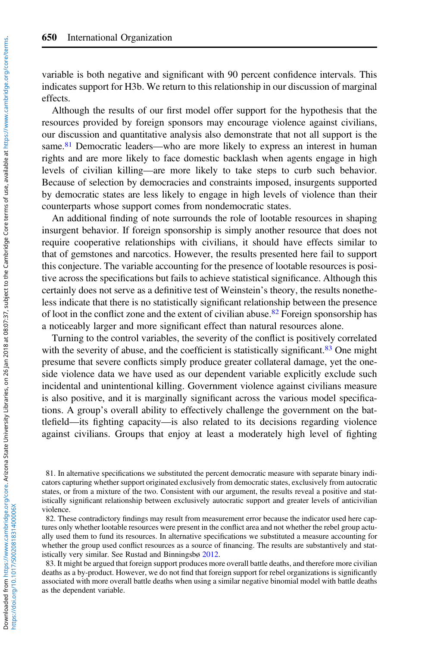variable is both negative and significant with 90 percent confidence intervals. This indicates support for H3b. We return to this relationship in our discussion of marginal effects.

Although the results of our first model offer support for the hypothesis that the resources provided by foreign sponsors may encourage violence against civilians, our discussion and quantitative analysis also demonstrate that not all support is the same.<sup>81</sup> Democratic leaders—who are more likely to express an interest in human rights and are more likely to face domestic backlash when agents engage in high levels of civilian killing—are more likely to take steps to curb such behavior. Because of selection by democracies and constraints imposed, insurgents supported by democratic states are less likely to engage in high levels of violence than their counterparts whose support comes from nondemocratic states.

An additional finding of note surrounds the role of lootable resources in shaping insurgent behavior. If foreign sponsorship is simply another resource that does not require cooperative relationships with civilians, it should have effects similar to that of gemstones and narcotics. However, the results presented here fail to support this conjecture. The variable accounting for the presence of lootable resources is positive across the specifications but fails to achieve statistical significance. Although this certainly does not serve as a definitive test of Weinstein's theory, the results nonetheless indicate that there is no statistically significant relationship between the presence of loot in the conflict zone and the extent of civilian abuse.<sup>82</sup> Foreign sponsorship has a noticeably larger and more significant effect than natural resources alone.

Turning to the control variables, the severity of the conflict is positively correlated with the severity of abuse, and the coefficient is statistically significant.<sup>83</sup> One might presume that severe conflicts simply produce greater collateral damage, yet the oneside violence data we have used as our dependent variable explicitly exclude such incidental and unintentional killing. Government violence against civilians measure is also positive, and it is marginally significant across the various model specifications. A group's overall ability to effectively challenge the government on the battlefield—its fighting capacity—is also related to its decisions regarding violence against civilians. Groups that enjoy at least a moderately high level of fighting

<sup>81.</sup> In alternative specifications we substituted the percent democratic measure with separate binary indicators capturing whether support originated exclusively from democratic states, exclusively from autocratic states, or from a mixture of the two. Consistent with our argument, the results reveal a positive and statistically significant relationship between exclusively autocratic support and greater levels of anticivilian violence.

<sup>82.</sup> These contradictory findings may result from measurement error because the indicator used here captures only whether lootable resources were present in the conflict area and not whether the rebel group actually used them to fund its resources. In alternative specifications we substituted a measure accounting for whether the group used conflict resources as a source of financing. The results are substantively and statistically very similar. See Rustad and Binningsbø [2012.](#page-28-0)

<sup>83.</sup> It might be argued that foreign support produces more overall battle deaths, and therefore more civilian deaths as a by-product. However, we do not find that foreign support for rebel organizations is significantly associated with more overall battle deaths when using a similar negative binomial model with battle deaths as the dependent variable.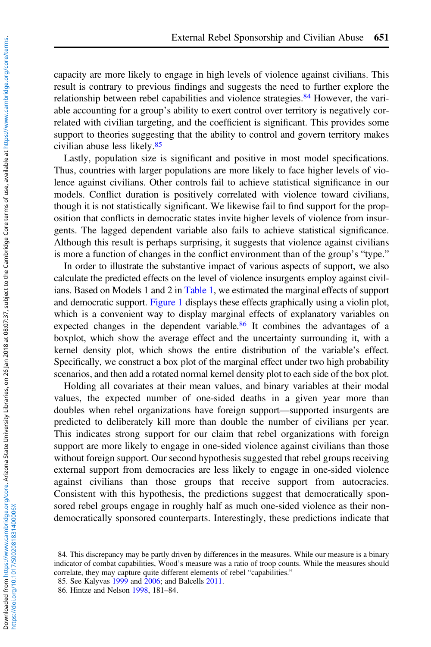capacity are more likely to engage in high levels of violence against civilians. This result is contrary to previous findings and suggests the need to further explore the relationship between rebel capabilities and violence strategies.<sup>84</sup> However, the variable accounting for a group's ability to exert control over territory is negatively correlated with civilian targeting, and the coefficient is significant. This provides some support to theories suggesting that the ability to control and govern territory makes civilian abuse less likely.<sup>85</sup>

Lastly, population size is significant and positive in most model specifications. Thus, countries with larger populations are more likely to face higher levels of violence against civilians. Other controls fail to achieve statistical significance in our models. Conflict duration is positively correlated with violence toward civilians, though it is not statistically significant. We likewise fail to find support for the proposition that conflicts in democratic states invite higher levels of violence from insurgents. The lagged dependent variable also fails to achieve statistical significance. Although this result is perhaps surprising, it suggests that violence against civilians is more a function of changes in the conflict environment than of the group's "type."

In order to illustrate the substantive impact of various aspects of support, we also calculate the predicted effects on the level of violence insurgents employ against civilians. Based on Models 1 and 2 in [Table 1](#page-16-0), we estimated the marginal effects of support and democratic support. [Figure 1](#page-19-0) displays these effects graphically using a violin plot, which is a convenient way to display marginal effects of explanatory variables on expected changes in the dependent variable.<sup>86</sup> It combines the advantages of a boxplot, which show the average effect and the uncertainty surrounding it, with a kernel density plot, which shows the entire distribution of the variable's effect. Specifically, we construct a box plot of the marginal effect under two high probability scenarios, and then add a rotated normal kernel density plot to each side of the box plot.

Holding all covariates at their mean values, and binary variables at their modal values, the expected number of one-sided deaths in a given year more than doubles when rebel organizations have foreign support—supported insurgents are predicted to deliberately kill more than double the number of civilians per year. This indicates strong support for our claim that rebel organizations with foreign support are more likely to engage in one-sided violence against civilians than those without foreign support. Our second hypothesis suggested that rebel groups receiving external support from democracies are less likely to engage in one-sided violence against civilians than those groups that receive support from autocracies. Consistent with this hypothesis, the predictions suggest that democratically sponsored rebel groups engage in roughly half as much one-sided violence as their nondemocratically sponsored counterparts. Interestingly, these predictions indicate that

<sup>84.</sup> This discrepancy may be partly driven by differences in the measures. While our measure is a binary indicator of combat capabilities, Wood's measure was a ratio of troop counts. While the measures should correlate, they may capture quite different elements of rebel "capabilities."

<sup>85.</sup> See Kalyvas [1999](#page-26-0) and [2006;](#page-26-0) and Balcells [2011.](#page-25-0)

<sup>86.</sup> Hintze and Nelson [1998](#page-26-0), 181–84.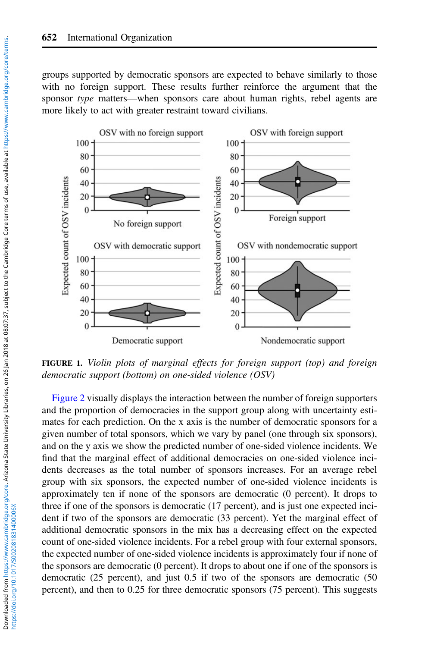<span id="page-19-0"></span>groups supported by democratic sponsors are expected to behave similarly to those with no foreign support. These results further reinforce the argument that the sponsor type matters—when sponsors care about human rights, rebel agents are more likely to act with greater restraint toward civilians.



FIGURE 1. Violin plots of marginal effects for foreign support (top) and foreign democratic support (bottom) on one-sided violence (OSV)

[Figure 2](#page-20-0) visually displays the interaction between the number of foreign supporters and the proportion of democracies in the support group along with uncertainty estimates for each prediction. On the x axis is the number of democratic sponsors for a given number of total sponsors, which we vary by panel (one through six sponsors), and on the y axis we show the predicted number of one-sided violence incidents. We find that the marginal effect of additional democracies on one-sided violence incidents decreases as the total number of sponsors increases. For an average rebel group with six sponsors, the expected number of one-sided violence incidents is approximately ten if none of the sponsors are democratic (0 percent). It drops to three if one of the sponsors is democratic (17 percent), and is just one expected incident if two of the sponsors are democratic (33 percent). Yet the marginal effect of additional democratic sponsors in the mix has a decreasing effect on the expected count of one-sided violence incidents. For a rebel group with four external sponsors, the expected number of one-sided violence incidents is approximately four if none of the sponsors are democratic (0 percent). It drops to about one if one of the sponsors is democratic (25 percent), and just 0.5 if two of the sponsors are democratic (50 percent), and then to 0.25 for three democratic sponsors (75 percent). This suggests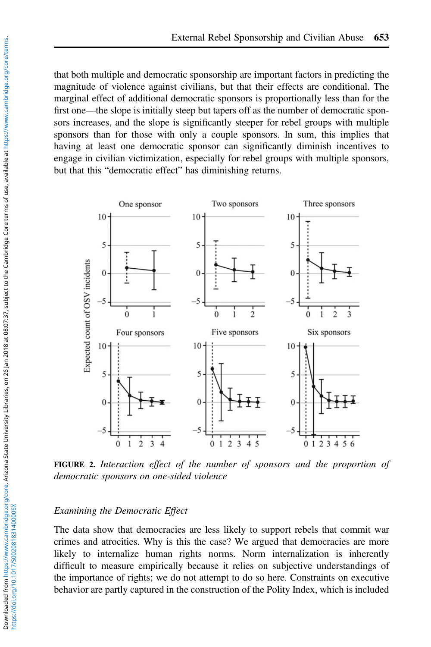<span id="page-20-0"></span>that both multiple and democratic sponsorship are important factors in predicting the magnitude of violence against civilians, but that their effects are conditional. The marginal effect of additional democratic sponsors is proportionally less than for the first one—the slope is initially steep but tapers off as the number of democratic sponsors increases, and the slope is significantly steeper for rebel groups with multiple sponsors than for those with only a couple sponsors. In sum, this implies that having at least one democratic sponsor can significantly diminish incentives to engage in civilian victimization, especially for rebel groups with multiple sponsors, but that this "democratic effect" has diminishing returns.



FIGURE 2. Interaction effect of the number of sponsors and the proportion of democratic sponsors on one-sided violence

# Examining the Democratic Effect

The data show that democracies are less likely to support rebels that commit war crimes and atrocities. Why is this the case? We argued that democracies are more likely to internalize human rights norms. Norm internalization is inherently difficult to measure empirically because it relies on subjective understandings of the importance of rights; we do not attempt to do so here. Constraints on executive behavior are partly captured in the construction of the Polity Index, which is included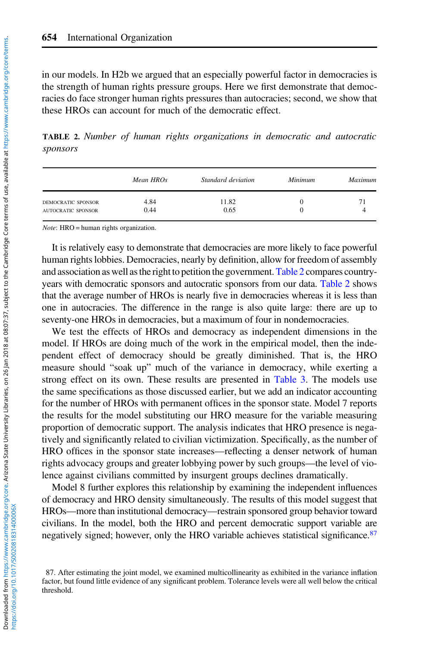in our models. In H2b we argued that an especially powerful factor in democracies is the strength of human rights pressure groups. Here we first demonstrate that democracies do face stronger human rights pressures than autocracies; second, we show that these HROs can account for much of the democratic effect.

TABLE 2. Number of human rights organizations in democratic and autocratic sponsors

|                                                 | Mean HROs    | Standard deviation | Minimum | Maximum |
|-------------------------------------------------|--------------|--------------------|---------|---------|
| DEMOCRATIC SPONSOR<br><b>AUTOCRATIC SPONSOR</b> | 4.84<br>0.44 | 11.82<br>0.65      |         |         |

Note: HRO = human rights organization.

It is relatively easy to demonstrate that democracies are more likely to face powerful human rights lobbies. Democracies, nearly by definition, allow for freedom of assembly and association as well as the right to petition the government.Table 2 compares countryyears with democratic sponsors and autocratic sponsors from our data. Table 2 shows that the average number of HROs is nearly five in democracies whereas it is less than one in autocracies. The difference in the range is also quite large: there are up to seventy-one HROs in democracies, but a maximum of four in nondemocracies.

We test the effects of HROs and democracy as independent dimensions in the model. If HROs are doing much of the work in the empirical model, then the independent effect of democracy should be greatly diminished. That is, the HRO measure should "soak up" much of the variance in democracy, while exerting a strong effect on its own. These results are presented in [Table 3](#page-22-0). The models use the same specifications as those discussed earlier, but we add an indicator accounting for the number of HROs with permanent offices in the sponsor state. Model 7 reports the results for the model substituting our HRO measure for the variable measuring proportion of democratic support. The analysis indicates that HRO presence is negatively and significantly related to civilian victimization. Specifically, as the number of HRO offices in the sponsor state increases—reflecting a denser network of human rights advocacy groups and greater lobbying power by such groups—the level of violence against civilians committed by insurgent groups declines dramatically.

Model 8 further explores this relationship by examining the independent influences of democracy and HRO density simultaneously. The results of this model suggest that HROs—more than institutional democracy—restrain sponsored group behavior toward civilians. In the model, both the HRO and percent democratic support variable are negatively signed; however, only the HRO variable achieves statistical significance.<sup>87</sup>

<sup>87.</sup> After estimating the joint model, we examined multicollinearity as exhibited in the variance inflation factor, but found little evidence of any significant problem. Tolerance levels were all well below the critical threshold.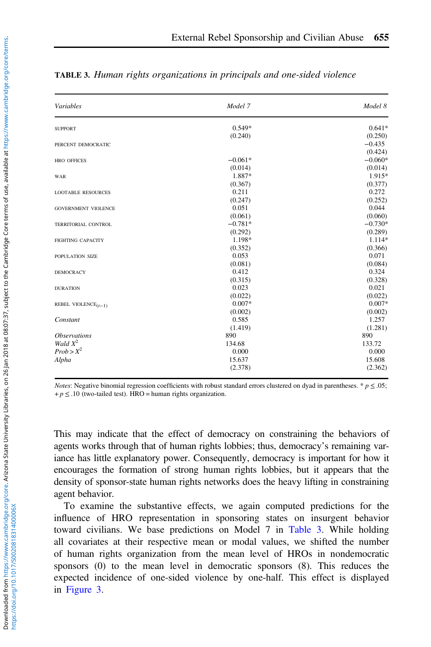| $0.549*$<br><b>SUPPORT</b><br>(0.240)<br>PERCENT DEMOCRATIC<br>$-0.061*$<br><b>HRO OFFICES</b><br>(0.014)<br>1.887*<br>WAR | $0.641*$<br>(0.250)<br>$-0.435$<br>(0.424)<br>$-0.060*$<br>(0.014)<br>1.915*<br>(0.377)<br>0.272 |
|----------------------------------------------------------------------------------------------------------------------------|--------------------------------------------------------------------------------------------------|
|                                                                                                                            |                                                                                                  |
|                                                                                                                            |                                                                                                  |
|                                                                                                                            |                                                                                                  |
|                                                                                                                            |                                                                                                  |
|                                                                                                                            |                                                                                                  |
|                                                                                                                            |                                                                                                  |
|                                                                                                                            |                                                                                                  |
| (0.367)                                                                                                                    |                                                                                                  |
| 0.211<br><b>LOOTABLE RESOURCES</b>                                                                                         |                                                                                                  |
| (0.247)                                                                                                                    | (0.252)                                                                                          |
| 0.051<br><b>GOVERNMENT VIOLENCE</b>                                                                                        | 0.044                                                                                            |
| (0.061)                                                                                                                    | (0.060)                                                                                          |
| $-0.781*$<br>TERRITORIAL CONTROL                                                                                           | $-0.730*$                                                                                        |
| (0.292)                                                                                                                    | (0.289)                                                                                          |
| 1.198*<br><b>FIGHTING CAPACITY</b>                                                                                         | $1.114*$                                                                                         |
| (0.352)                                                                                                                    | (0.366)                                                                                          |
| 0.053<br>POPULATION SIZE                                                                                                   | 0.071                                                                                            |
| (0.081)                                                                                                                    | (0.084)                                                                                          |
| 0.412<br><b>DEMOCRACY</b>                                                                                                  | 0.324                                                                                            |
| (0.315)                                                                                                                    | (0.328)                                                                                          |
| 0.023<br><b>DURATION</b>                                                                                                   | 0.021                                                                                            |
| (0.022)                                                                                                                    | (0.022)                                                                                          |
| $0.007*$<br>REBEL VIOLENCE <sub><math>(t-1)</math></sub>                                                                   | $0.007*$                                                                                         |
| (0.002)                                                                                                                    | (0.002)                                                                                          |
| 0.585<br>Constant                                                                                                          | 1.257                                                                                            |
| (1.419)                                                                                                                    | (1.281)                                                                                          |
| 890<br><i><b>Observations</b></i>                                                                                          | 890                                                                                              |
| Wald $X^2$<br>134.68                                                                                                       | 133.72                                                                                           |
| $Prob > X^2$<br>0.000                                                                                                      | 0.000                                                                                            |
| Alpha<br>15.637                                                                                                            | 15.608                                                                                           |
| (2.378)                                                                                                                    | (2.362)                                                                                          |

<span id="page-22-0"></span>

|  |  |  | TABLE 3. Human rights organizations in principals and one-sided violence |  |  |  |  |  |
|--|--|--|--------------------------------------------------------------------------|--|--|--|--|--|
|--|--|--|--------------------------------------------------------------------------|--|--|--|--|--|

*Notes*: Negative binomial regression coefficients with robust standard errors clustered on dyad in parentheses. \*  $p \le 0.05$ ;  $+p \leq 0.10$  (two-tailed test). HRO = human rights organization.

This may indicate that the effect of democracy on constraining the behaviors of agents works through that of human rights lobbies; thus, democracy's remaining variance has little explanatory power. Consequently, democracy is important for how it encourages the formation of strong human rights lobbies, but it appears that the density of sponsor-state human rights networks does the heavy lifting in constraining agent behavior.

To examine the substantive effects, we again computed predictions for the influence of HRO representation in sponsoring states on insurgent behavior toward civilians. We base predictions on Model 7 in Table 3. While holding all covariates at their respective mean or modal values, we shifted the number of human rights organization from the mean level of HROs in nondemocratic sponsors (0) to the mean level in democratic sponsors (8). This reduces the expected incidence of one-sided violence by one-half. This effect is displayed in [Figure 3.](#page-23-0)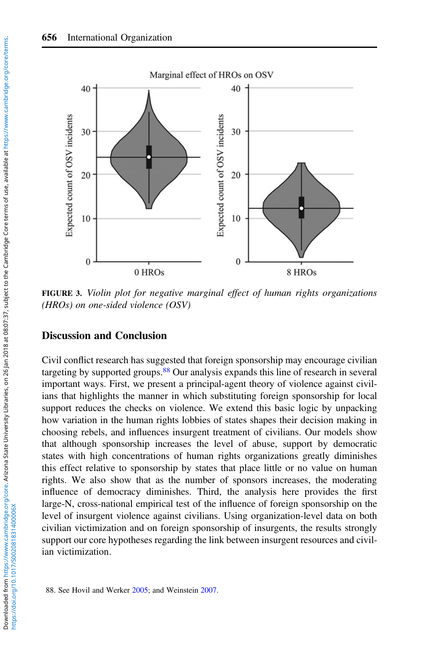<span id="page-23-0"></span>

FIGURE 3. Violin plot for negative marginal effect of human rights organizations (HROs) on one-sided violence (OSV)

## Discussion and Conclusion

Civil conflict research has suggested that foreign sponsorship may encourage civilian targeting by supported groups.88 Our analysis expands this line of research in several important ways. First, we present a principal-agent theory of violence against civilians that highlights the manner in which substituting foreign sponsorship for local support reduces the checks on violence. We extend this basic logic by unpacking how variation in the human rights lobbies of states shapes their decision making in choosing rebels, and influences insurgent treatment of civilians. Our models show that although sponsorship increases the level of abuse, support by democratic states with high concentrations of human rights organizations greatly diminishes this effect relative to sponsorship by states that place little or no value on human rights. We also show that as the number of sponsors increases, the moderating influence of democracy diminishes. Third, the analysis here provides the first large-N, cross-national empirical test of the influence of foreign sponsorship on the level of insurgent violence against civilians. Using organization-level data on both civilian victimization and on foreign sponsorship of insurgents, the results strongly support our core hypotheses regarding the link between insurgent resources and civilian victimization.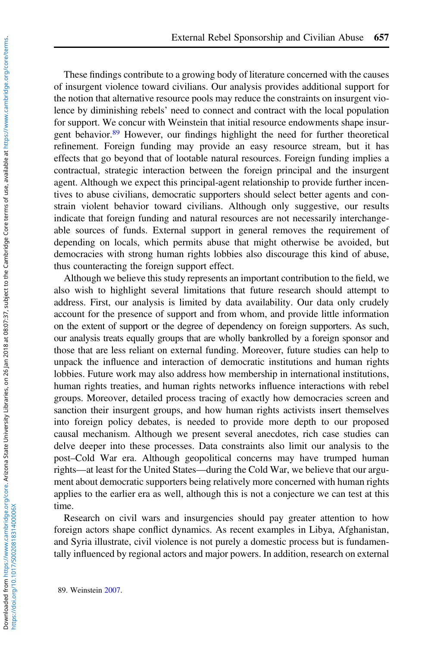These findings contribute to a growing body of literature concerned with the causes of insurgent violence toward civilians. Our analysis provides additional support for the notion that alternative resource pools may reduce the constraints on insurgent violence by diminishing rebels' need to connect and contract with the local population for support. We concur with Weinstein that initial resource endowments shape insurgent behavior.<sup>89</sup> However, our findings highlight the need for further theoretical refinement. Foreign funding may provide an easy resource stream, but it has effects that go beyond that of lootable natural resources. Foreign funding implies a contractual, strategic interaction between the foreign principal and the insurgent agent. Although we expect this principal-agent relationship to provide further incentives to abuse civilians, democratic supporters should select better agents and constrain violent behavior toward civilians. Although only suggestive, our results indicate that foreign funding and natural resources are not necessarily interchangeable sources of funds. External support in general removes the requirement of depending on locals, which permits abuse that might otherwise be avoided, but democracies with strong human rights lobbies also discourage this kind of abuse, thus counteracting the foreign support effect.

Although we believe this study represents an important contribution to the field, we also wish to highlight several limitations that future research should attempt to address. First, our analysis is limited by data availability. Our data only crudely account for the presence of support and from whom, and provide little information on the extent of support or the degree of dependency on foreign supporters. As such, our analysis treats equally groups that are wholly bankrolled by a foreign sponsor and those that are less reliant on external funding. Moreover, future studies can help to unpack the influence and interaction of democratic institutions and human rights lobbies. Future work may also address how membership in international institutions, human rights treaties, and human rights networks influence interactions with rebel groups. Moreover, detailed process tracing of exactly how democracies screen and sanction their insurgent groups, and how human rights activists insert themselves into foreign policy debates, is needed to provide more depth to our proposed causal mechanism. Although we present several anecdotes, rich case studies can delve deeper into these processes. Data constraints also limit our analysis to the post–Cold War era. Although geopolitical concerns may have trumped human rights—at least for the United States—during the Cold War, we believe that our argument about democratic supporters being relatively more concerned with human rights applies to the earlier era as well, although this is not a conjecture we can test at this time.

Research on civil wars and insurgencies should pay greater attention to how foreign actors shape conflict dynamics. As recent examples in Libya, Afghanistan, and Syria illustrate, civil violence is not purely a domestic process but is fundamentally influenced by regional actors and major powers. In addition, research on external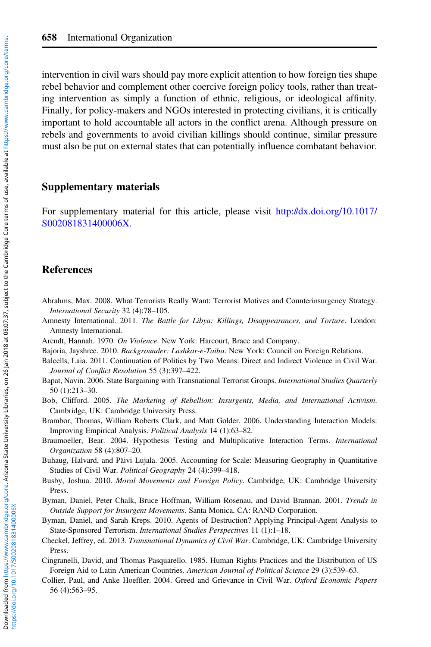<span id="page-25-0"></span>intervention in civil wars should pay more explicit attention to how foreign ties shape rebel behavior and complement other coercive foreign policy tools, rather than treating intervention as simply a function of ethnic, religious, or ideological affinity. Finally, for policy-makers and NGOs interested in protecting civilians, it is critically important to hold accountable all actors in the conflict arena. Although pressure on rebels and governments to avoid civilian killings should continue, similar pressure must also be put on external states that can potentially influence combatant behavior.

#### Supplementary materials

For supplementary material for this article, please visit [http://dx.doi.org/10.1017/](http://dx.doi.org/10.1017/S002081831400006X) [S002081831400006X.](http://dx.doi.org/10.1017/S002081831400006X)

# References

- Abrahms, Max. 2008. What Terrorists Really Want: Terrorist Motives and Counterinsurgency Strategy. International Security 32 (4):78–105.
- Amnesty International. 2011. The Battle for Libya: Killings, Disappearances, and Torture. London: Amnesty International.
- Arendt, Hannah. 1970. On Violence. New York: Harcourt, Brace and Company.
- Bajoria, Jayshree. 2010. Backgrounder: Lashkar-e-Taiba. New York: Council on Foreign Relations.
- Balcells, Laia. 2011. Continuation of Politics by Two Means: Direct and Indirect Violence in Civil War. Journal of Conflict Resolution 55 (3):397–422.
- Bapat, Navin. 2006. State Bargaining with Transnational Terrorist Groups. International Studies Quarterly 50 (1):213–30.
- Bob, Clifford. 2005. The Marketing of Rebellion: Insurgents, Media, and International Activism. Cambridge, UK: Cambridge University Press.
- Brambor, Thomas, William Roberts Clark, and Matt Golder. 2006. Understanding Interaction Models: Improving Empirical Analysis. Political Analysis 14 (1):63–82.
- Braumoeller, Bear. 2004. Hypothesis Testing and Multiplicative Interaction Terms. International Organization 58 (4):807–20.
- Buhaug, Halvard, and Päivi Lujala. 2005. Accounting for Scale: Measuring Geography in Quantitative Studies of Civil War. Political Geography 24 (4):399-418.
- Busby, Joshua. 2010. Moral Movements and Foreign Policy. Cambridge, UK: Cambridge University Press.
- Byman, Daniel, Peter Chalk, Bruce Hoffman, William Rosenau, and David Brannan. 2001. Trends in Outside Support for Insurgent Movements. Santa Monica, CA: RAND Corporation.
- Byman, Daniel, and Sarah Kreps. 2010. Agents of Destruction? Applying Principal-Agent Analysis to State-Sponsored Terrorism. International Studies Perspectives 11 (1):1–18.
- Checkel, Jeffrey, ed. 2013. Transnational Dynamics of Civil War. Cambridge, UK: Cambridge University Press.
- Cingranelli, David, and Thomas Pasquarello. 1985. Human Rights Practices and the Distribution of US Foreign Aid to Latin American Countries. American Journal of Political Science 29 (3):539–63.
- Collier, Paul, and Anke Hoeffler. 2004. Greed and Grievance in Civil War. Oxford Economic Papers 56 (4):563–95.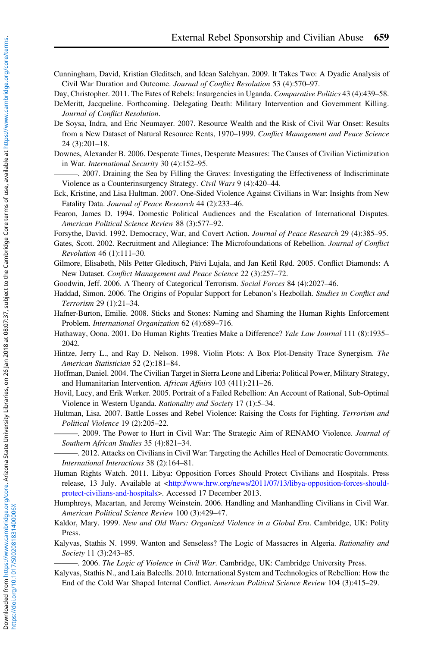<span id="page-26-0"></span>Cunningham, David, Kristian Gleditsch, and Idean Salehyan. 2009. It Takes Two: A Dyadic Analysis of Civil War Duration and Outcome. Journal of Conflict Resolution 53 (4):570–97.

Day, Christopher. 2011. The Fates of Rebels: Insurgencies in Uganda. Comparative Politics 43 (4):439–58.

- DeMeritt, Jacqueline. Forthcoming. Delegating Death: Military Intervention and Government Killing. Journal of Conflict Resolution.
- De Soysa, Indra, and Eric Neumayer. 2007. Resource Wealth and the Risk of Civil War Onset: Results from a New Dataset of Natural Resource Rents, 1970–1999. Conflict Management and Peace Science 24 (3):201–18.
- Downes, Alexander B. 2006. Desperate Times, Desperate Measures: The Causes of Civilian Victimization in War. International Security 30 (4):152–95.
	- ———. 2007. Draining the Sea by Filling the Graves: Investigating the Effectiveness of Indiscriminate Violence as a Counterinsurgency Strategy. Civil Wars 9 (4):420–44.
- Eck, Kristine, and Lisa Hultman. 2007. One-Sided Violence Against Civilians in War: Insights from New Fatality Data. Journal of Peace Research 44 (2):233-46.
- Fearon, James D. 1994. Domestic Political Audiences and the Escalation of International Disputes. American Political Science Review 88 (3):577–92.

Forsythe, David. 1992. Democracy, War, and Covert Action. Journal of Peace Research 29 (4):385–95.

- Gates, Scott. 2002. Recruitment and Allegiance: The Microfoundations of Rebellion. Journal of Conflict Revolution 46 (1):111–30.
- Gilmore, Elisabeth, Nils Petter Gleditsch, Päivi Lujala, and Jan Ketil Rød. 2005. Conflict Diamonds: A New Dataset. Conflict Management and Peace Science 22 (3):257–72.

Goodwin, Jeff. 2006. A Theory of Categorical Terrorism. Social Forces 84 (4):2027–46.

- Haddad, Simon. 2006. The Origins of Popular Support for Lebanon's Hezbollah. Studies in Conflict and Terrorism 29 (1):21–34.
- Hafner-Burton, Emilie. 2008. Sticks and Stones: Naming and Shaming the Human Rights Enforcement Problem. International Organization 62 (4):689–716.
- Hathaway, Oona. 2001. Do Human Rights Treaties Make a Difference? Yale Law Journal 111 (8):1935– 2042.
- Hintze, Jerry L., and Ray D. Nelson. 1998. Violin Plots: A Box Plot-Density Trace Synergism. The American Statistician 52 (2):181–84.
- Hoffman, Daniel. 2004. The Civilian Target in Sierra Leone and Liberia: Political Power, Military Strategy, and Humanitarian Intervention. African Affairs 103 (411):211–26.
- Hovil, Lucy, and Erik Werker. 2005. Portrait of a Failed Rebellion: An Account of Rational, Sub-Optimal Violence in Western Uganda. Rationality and Society 17 (1):5–34.
- Hultman, Lisa. 2007. Battle Losses and Rebel Violence: Raising the Costs for Fighting. Terrorism and Political Violence 19 (2):205–22.
- -. 2009. The Power to Hurt in Civil War: The Strategic Aim of RENAMO Violence. Journal of Southern African Studies 35 (4):821–34.
- ———. 2012. Attacks on Civilians in Civil War: Targeting the Achilles Heel of Democratic Governments. International Interactions 38 (2):164–81.
- Human Rights Watch. 2011. Libya: Opposition Forces Should Protect Civilians and Hospitals. Press release, 13 July. Available at [<http://www.hrw.org/news/2011/07/13/libya-opposition-forces-should](http://www.hrw.org/news/2011/07/13/libya-opposition-forces-should-protect-civilians-and-hospitals)[protect-civilians-and-hospitals>](http://www.hrw.org/news/2011/07/13/libya-opposition-forces-should-protect-civilians-and-hospitals). Accessed 17 December 2013.
- Humphreys, Macartan, and Jeremy Weinstein. 2006. Handling and Manhandling Civilians in Civil War. American Political Science Review 100 (3):429–47.
- Kaldor, Mary. 1999. New and Old Wars: Organized Violence in a Global Era. Cambridge, UK: Polity Press.
- Kalyvas, Stathis N. 1999. Wanton and Senseless? The Logic of Massacres in Algeria. Rationality and Society 11 (3):243-85.

- 2006. The Logic of Violence in Civil War. Cambridge, UK: Cambridge University Press.

Kalyvas, Stathis N., and Laia Balcells. 2010. International System and Technologies of Rebellion: How the End of the Cold War Shaped Internal Conflict. American Political Science Review 104 (3):415–29.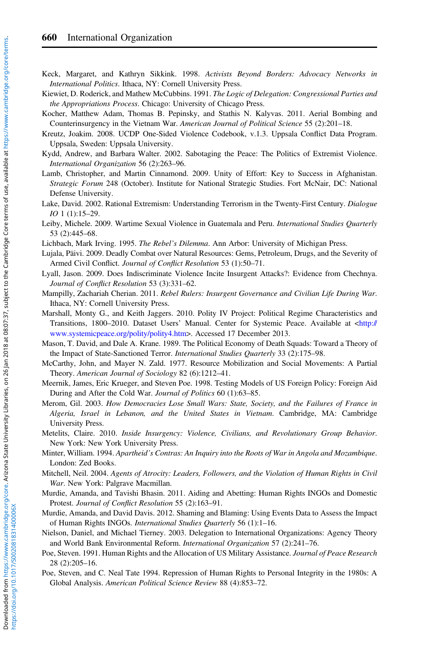- <span id="page-27-0"></span>Keck, Margaret, and Kathryn Sikkink. 1998. Activists Beyond Borders: Advocacy Networks in International Politics. Ithaca, NY: Cornell University Press.
- Kiewiet, D. Roderick, and Mathew McCubbins. 1991. The Logic of Delegation: Congressional Parties and the Appropriations Process. Chicago: University of Chicago Press.
- Kocher, Matthew Adam, Thomas B. Pepinsky, and Stathis N. Kalyvas. 2011. Aerial Bombing and Counterinsurgency in the Vietnam War. American Journal of Political Science 55 (2):201–18.
- Kreutz, Joakim. 2008. UCDP One-Sided Violence Codebook, v.1.3. Uppsala Conflict Data Program. Uppsala, Sweden: Uppsala University.
- Kydd, Andrew, and Barbara Walter. 2002. Sabotaging the Peace: The Politics of Extremist Violence. International Organization 56 (2):263–96.
- Lamb, Christopher, and Martin Cinnamond. 2009. Unity of Effort: Key to Success in Afghanistan. Strategic Forum 248 (October). Institute for National Strategic Studies. Fort McNair, DC: National Defense University.
- Lake, David. 2002. Rational Extremism: Understanding Terrorism in the Twenty-First Century. Dialogue IO 1 (1):15–29.
- Leiby, Michele. 2009. Wartime Sexual Violence in Guatemala and Peru. International Studies Quarterly 53 (2):445–68.
- Lichbach, Mark Irving. 1995. The Rebel's Dilemma. Ann Arbor: University of Michigan Press.
- Lujala, Päivi. 2009. Deadly Combat over Natural Resources: Gems, Petroleum, Drugs, and the Severity of Armed Civil Conflict. Journal of Conflict Resolution 53 (1):50-71.
- Lyall, Jason. 2009. Does Indiscriminate Violence Incite Insurgent Attacks?: Evidence from Chechnya. Journal of Conflict Resolution 53 (3):331–62.
- Mampilly, Zachariah Cherian. 2011. Rebel Rulers: Insurgent Governance and Civilian Life During War. Ithaca, NY: Cornell University Press.
- Marshall, Monty G., and Keith Jaggers. 2010. Polity IV Project: Political Regime Characteristics and Transitions, 1800–2010. Dataset Users' Manual. Center for Systemic Peace. Available at [<http://](http://www.systemicpeace.org/polity/polity4.htm) [www.systemicpeace.org/polity/polity4.htm>](http://www.systemicpeace.org/polity/polity4.htm). Accessed 17 December 2013.
- Mason, T. David, and Dale A. Krane. 1989. The Political Economy of Death Squads: Toward a Theory of the Impact of State-Sanctioned Terror. International Studies Quarterly 33 (2):175–98.
- McCarthy, John, and Mayer N. Zald. 1977. Resource Mobilization and Social Movements: A Partial Theory. American Journal of Sociology 82 (6):1212–41.
- Meernik, James, Eric Krueger, and Steven Poe. 1998. Testing Models of US Foreign Policy: Foreign Aid During and After the Cold War. Journal of Politics 60 (1):63-85.
- Merom, Gil. 2003. How Democracies Lose Small Wars: State, Society, and the Failures of France in Algeria, Israel in Lebanon, and the United States in Vietnam. Cambridge, MA: Cambridge University Press.
- Metelits, Claire. 2010. Inside Insurgency: Violence, Civilians, and Revolutionary Group Behavior. New York: New York University Press.
- Minter, William. 1994. Apartheid's Contras: An Inquiry into the Roots of War in Angola and Mozambique. London: Zed Books.
- Mitchell, Neil. 2004. Agents of Atrocity: Leaders, Followers, and the Violation of Human Rights in Civil War. New York: Palgrave Macmillan.
- Murdie, Amanda, and Tavishi Bhasin. 2011. Aiding and Abetting: Human Rights INGOs and Domestic Protest. Journal of Conflict Resolution 55 (2):163–91.
- Murdie, Amanda, and David Davis. 2012. Shaming and Blaming: Using Events Data to Assess the Impact of Human Rights INGOs. International Studies Quarterly 56 (1):1–16.
- Nielson, Daniel, and Michael Tierney. 2003. Delegation to International Organizations: Agency Theory and World Bank Environmental Reform. International Organization 57 (2):241–76.
- Poe, Steven. 1991. Human Rights and the Allocation of US Military Assistance. Journal of Peace Research 28 (2):205–16.
- Poe, Steven, and C. Neal Tate 1994. Repression of Human Rights to Personal Integrity in the 1980s: A Global Analysis. American Political Science Review 88 (4):853–72.